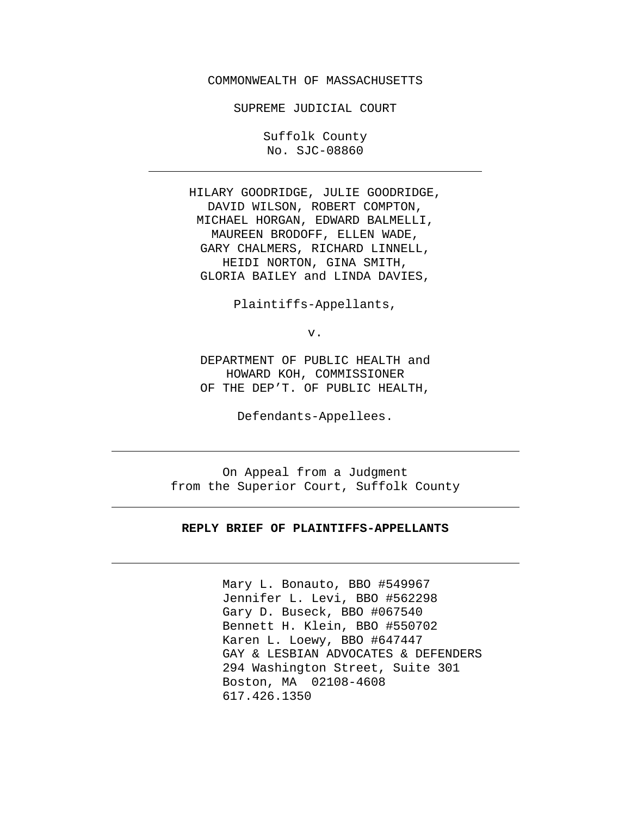### COMMONWEALTH OF MASSACHUSETTS

SUPREME JUDICIAL COURT

Suffolk County No. SJC-08860

HILARY GOODRIDGE, JULIE GOODRIDGE, DAVID WILSON, ROBERT COMPTON, MICHAEL HORGAN, EDWARD BALMELLI, MAUREEN BRODOFF, ELLEN WADE, GARY CHALMERS, RICHARD LINNELL, HEIDI NORTON, GINA SMITH, GLORIA BAILEY and LINDA DAVIES,

Plaintiffs-Appellants,

v.

DEPARTMENT OF PUBLIC HEALTH and HOWARD KOH, COMMISSIONER OF THE DEP'T. OF PUBLIC HEALTH,

Defendants-Appellees.

On Appeal from a Judgment from the Superior Court, Suffolk County

#### **REPLY BRIEF OF PLAINTIFFS-APPELLANTS**

Mary L. Bonauto, BBO #549967 Jennifer L. Levi, BBO #562298 Gary D. Buseck, BBO #067540 Bennett H. Klein, BBO #550702 Karen L. Loewy, BBO #647447 GAY & LESBIAN ADVOCATES & DEFENDERS 294 Washington Street, Suite 301 Boston, MA 02108-4608 617.426.1350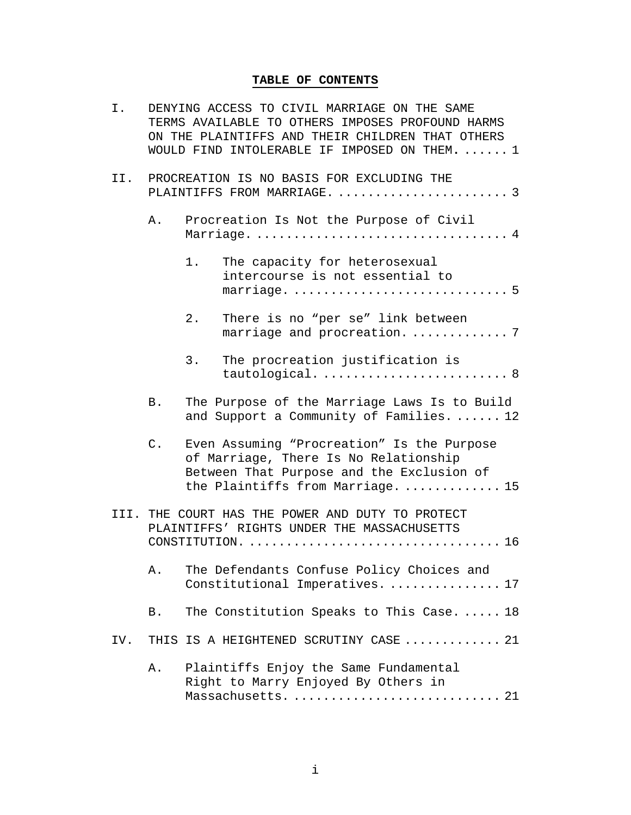# **TABLE OF CONTENTS**

| I.  |    | DENYING ACCESS TO CIVIL MARRIAGE ON THE SAME<br>TERMS AVAILABLE TO OTHERS IMPOSES PROFOUND HARMS<br>ON THE PLAINTIFFS AND THEIR CHILDREN THAT OTHERS<br>WOULD FIND INTOLERABLE IF IMPOSED ON THEM.  1 |  |  |  |
|-----|----|-------------------------------------------------------------------------------------------------------------------------------------------------------------------------------------------------------|--|--|--|
| II. |    | PROCREATION IS NO BASIS FOR EXCLUDING THE<br>PLAINTIFFS FROM MARRIAGE.  3                                                                                                                             |  |  |  |
|     | Α. | Procreation Is Not the Purpose of Civil                                                                                                                                                               |  |  |  |
|     |    | 1.<br>The capacity for heterosexual<br>intercourse is not essential to                                                                                                                                |  |  |  |
|     |    | $2$ .<br>There is no "per se" link between<br>marriage and procreation.  7                                                                                                                            |  |  |  |
|     |    | 3.<br>The procreation justification is<br>tautological.  8                                                                                                                                            |  |  |  |
|     | Β. | The Purpose of the Marriage Laws Is to Build<br>and Support a Community of Families.  12                                                                                                              |  |  |  |
|     | C. | Even Assuming "Procreation" Is the Purpose<br>of Marriage, There Is No Relationship<br>Between That Purpose and the Exclusion of<br>the Plaintiffs from Marriage.  15                                 |  |  |  |
|     |    | III. THE COURT HAS THE POWER AND DUTY TO PROTECT<br>PLAINTIFFS' RIGHTS UNDER THE MASSACHUSETTS                                                                                                        |  |  |  |
|     | Α. | The Defendants Confuse Policy Choices and<br>Constitutional Imperatives.  17                                                                                                                          |  |  |  |
|     | Β. | The Constitution Speaks to This Case.  18                                                                                                                                                             |  |  |  |
| IV. |    | THIS IS A HEIGHTENED SCRUTINY CASE  21                                                                                                                                                                |  |  |  |
|     | Α. | Plaintiffs Enjoy the Same Fundamental<br>Right to Marry Enjoyed By Others in<br>Massachusetts.  21                                                                                                    |  |  |  |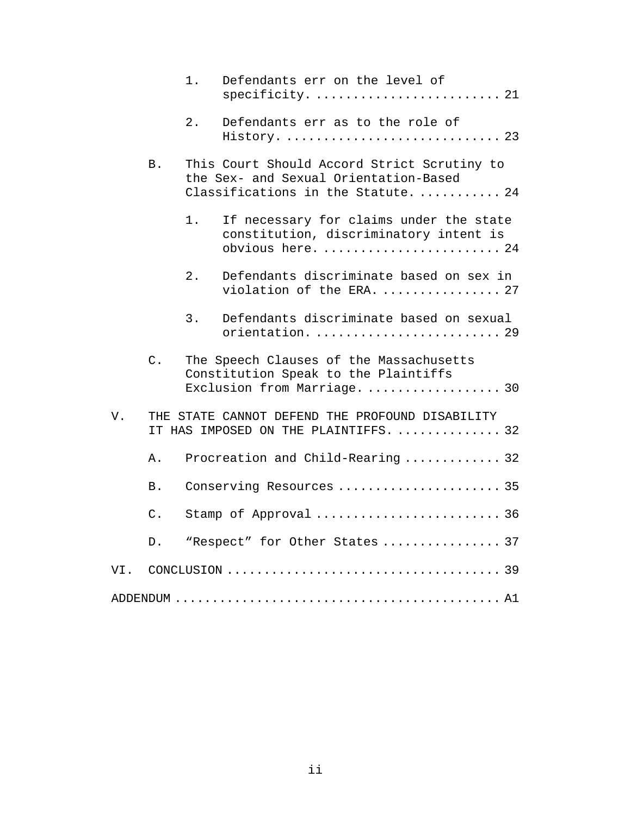|     |           | 1.    | Defendants err on the level of<br>specificity.  21                                                                          |
|-----|-----------|-------|-----------------------------------------------------------------------------------------------------------------------------|
|     |           | 2.    | Defendants err as to the role of<br>History.  23                                                                            |
|     | <b>B.</b> |       | This Court Should Accord Strict Scrutiny to<br>the Sex- and Sexual Orientation-Based<br>Classifications in the Statute.  24 |
|     |           | $1$ . | If necessary for claims under the state<br>constitution, discriminatory intent is<br>obvious here.  24                      |
|     |           | 2.    | Defendants discriminate based on sex in<br>violation of the ERA.  27                                                        |
|     |           | 3.    | Defendants discriminate based on sexual<br>orientation.  29                                                                 |
|     | $C$ .     |       | The Speech Clauses of the Massachusetts<br>Constitution Speak to the Plaintiffs<br>Exclusion from Marriage.  30             |
| V.  |           |       | THE STATE CANNOT DEFEND THE PROFOUND DISABILITY<br>IT HAS IMPOSED ON THE PLAINTIFFS.  32                                    |
|     | Α.        |       | Procreation and Child-Rearing  32                                                                                           |
|     | Β.        |       | Conserving Resources  35                                                                                                    |
|     | $C$ .     |       | Stamp of Approval  36                                                                                                       |
|     | D.        |       | "Respect" for Other States  37                                                                                              |
| VI. |           |       |                                                                                                                             |
|     |           |       |                                                                                                                             |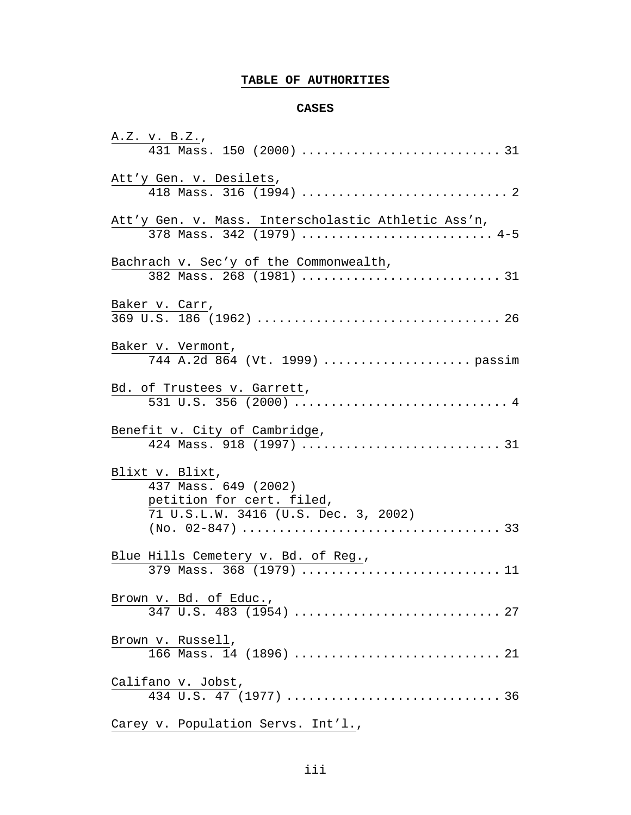# **TABLE OF AUTHORITIES**

### **CASES**

| Att'y Gen. v. Desilets,                                                                                      |
|--------------------------------------------------------------------------------------------------------------|
| Att'y Gen. v. Mass. Interscholastic Athletic Ass'n,<br>378 Mass. 342 (1979)  4-5                             |
| Bachrach v. Sec'y of the Commonwealth,<br>382 Mass. 268 (1981)  31                                           |
| Baker v. Carr,                                                                                               |
| Baker v. Vermont,<br>744 A.2d 864 (Vt. 1999)  passim                                                         |
| Bd. of Trustees v. Garrett,<br>531 U.S. 356 (2000)  4                                                        |
| Benefit v. City of Cambridge,                                                                                |
| Blixt v. Blixt,<br>437 Mass. 649 (2002)<br>petition for cert. filed,<br>71 U.S.L.W. 3416 (U.S. Dec. 3, 2002) |
| Blue Hills Cemetery v. Bd. of Reg.,<br>379 Mass. 368 (1979) 11                                               |
| Brown v. Bd. of Educ.,                                                                                       |
| Brown v. Russell,                                                                                            |
| Califano v. Jobst,                                                                                           |
| Carey v. Population Servs. Int'l.,                                                                           |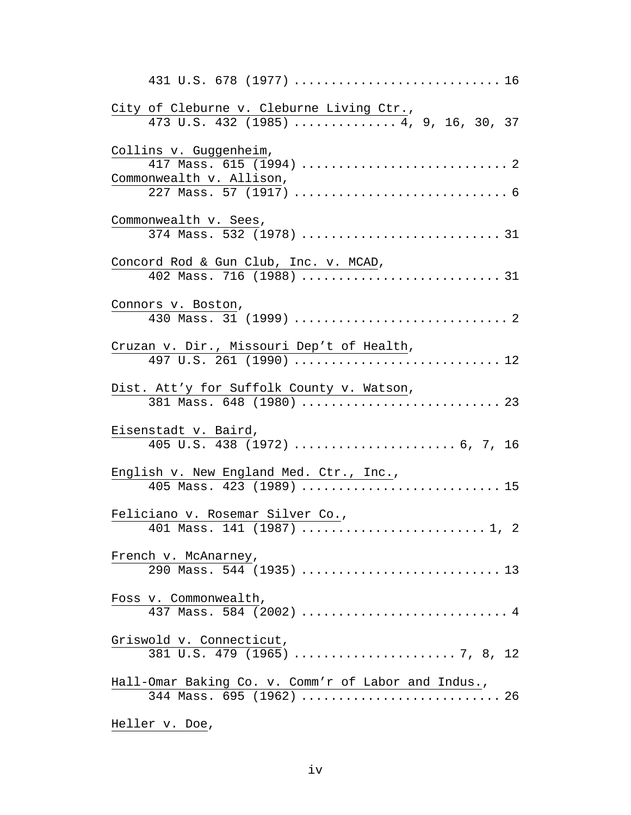| 431 U.S. 678 (1977)  16                                                            |
|------------------------------------------------------------------------------------|
| City of Cleburne v. Cleburne Living Ctr.,<br>473 U.S. 432 (1985)  4, 9, 16, 30, 37 |
| Collins v. Guggenheim,                                                             |
| Commonwealth v. Allison,                                                           |
|                                                                                    |
| Commonwealth v. Sees,<br>374 Mass. 532 (1978)  31                                  |
| Concord Rod & Gun Club, Inc. v. MCAD,                                              |
| 402 Mass. 716 (1988)  31                                                           |
| Connors v. Boston,                                                                 |
|                                                                                    |
| Cruzan v. Dir., Missouri Dep't of Health,                                          |
| 497 U.S. 261 (1990)  12                                                            |
| Dist. Att'y for Suffolk County v. Watson,                                          |
| 381 Mass. 648 (1980)  23                                                           |
| Eisenstadt v. Baird,                                                               |
|                                                                                    |
| English v. New England Med. Ctr., Inc.,<br>405 Mass. 423 (1989)  15                |
| Feliciano v. Rosemar Silver Co.,                                                   |
| 401 Mass. 141 (1987)  1, 2                                                         |
| French v. McAnarney,                                                               |
|                                                                                    |
| Foss v. Commonwealth,                                                              |
| 437 Mass. 584 (2002)  4                                                            |
| Griswold v. Connecticut,                                                           |
|                                                                                    |
| Hall-Omar Baking Co. v. Comm'r of Labor and Indus.,<br>344 Mass. 695 (1962)  26    |
|                                                                                    |
|                                                                                    |

Heller v. Doe,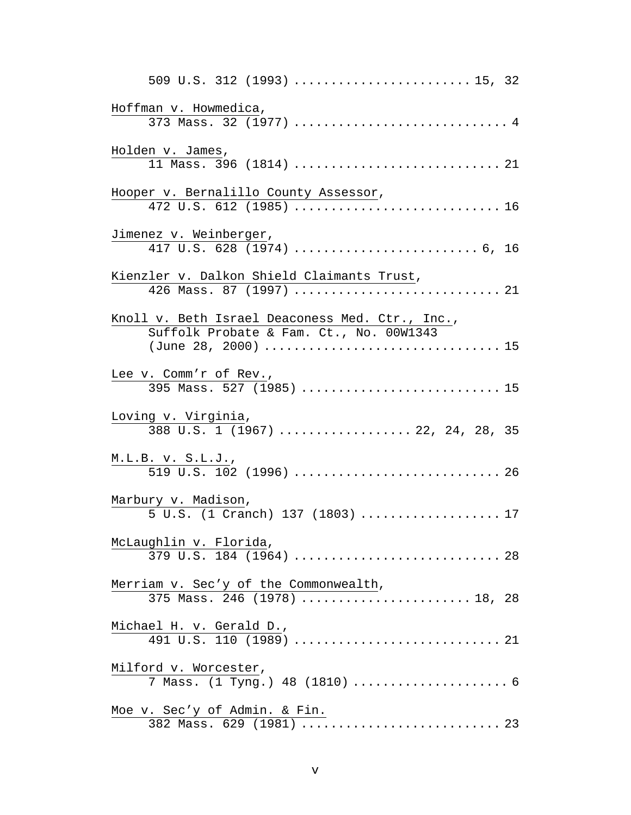| 509 U.S. 312 (1993)  15, 32                                                                |  |
|--------------------------------------------------------------------------------------------|--|
| Hoffman v. Howmedica,<br>373 Mass. 32 (1977)  4                                            |  |
| Holden v. James,<br>11 Mass. 396 (1814)  21                                                |  |
| Hooper v. Bernalillo County Assessor,<br>472 U.S. 612 (1985)  16                           |  |
| Jimenez v. Weinberger,                                                                     |  |
| Kienzler v. Dalkon Shield Claimants Trust,<br>426 Mass. 87 (1997)  21                      |  |
| Knoll v. Beth Israel Deaconess Med. Ctr., Inc.,<br>Suffolk Probate & Fam. Ct., No. 00W1343 |  |
| Lee v. Comm'r of Rev.,<br>395 Mass. 527 (1985)  15                                         |  |
| Loving v. Virginia,<br>$388$ U.S. 1 (1967)  22, 24, 28, 35                                 |  |
|                                                                                            |  |
| Marbury v. Madison,<br>5 U.S. (1 Cranch) 137 (1803)  17                                    |  |
| McLaughlin v. Florida,                                                                     |  |
| Merriam v. Sec'y of the Commonwealth,<br>375 Mass. 246 (1978)  18, 28                      |  |
|                                                                                            |  |
| Milford v. Worcester,<br>7 Mass. (1 Tyng.) 48 (1810)  6                                    |  |
|                                                                                            |  |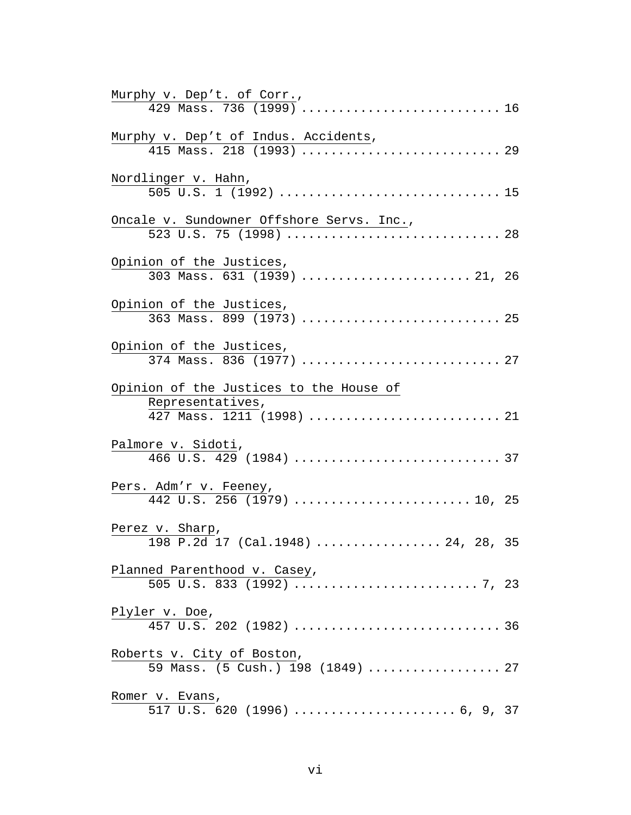| Murphy v. Dep't. of Corr.,                                                               |  |
|------------------------------------------------------------------------------------------|--|
|                                                                                          |  |
| Murphy v. Dep't of Indus. Accidents,                                                     |  |
| Nordlinger v. Hahn,                                                                      |  |
| Oncale v. Sundowner Offshore Servs. Inc.,<br>523 U.S. 75 (1998)  28                      |  |
| Opinion of the Justices,<br>303 Mass. 631 (1939)  21, 26                                 |  |
| Opinion of the Justices,                                                                 |  |
| Opinion of the Justices,<br>374 Mass. 836 (1977)  27                                     |  |
| Opinion of the Justices to the House of<br>Representatives,<br>427 Mass. 1211 (1998)  21 |  |
| Palmore v. Sidoti,                                                                       |  |
| Pers. Adm'r v. Feeney,                                                                   |  |
| Perez v. Sharp,<br>198 P.2d 17 (Cal.1948)  24, 28, 35                                    |  |
| Planned Parenthood v. Casey,                                                             |  |
|                                                                                          |  |
| Roberts v. City of Boston,<br>59 Mass. (5 Cush.) 198 (1849)  27                          |  |
| Romer v. Evans,                                                                          |  |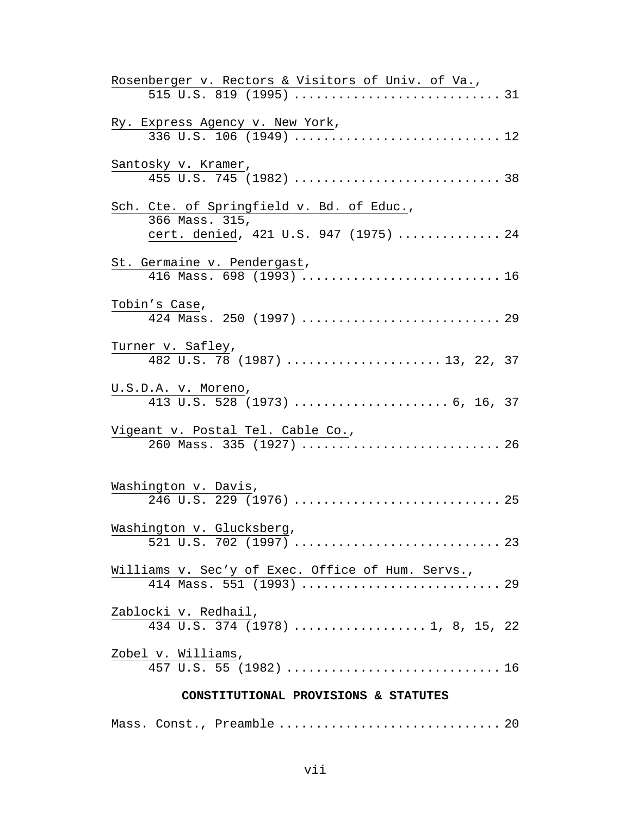| Rosenberger v. Rectors & Visitors of Univ. of Va.,                            |  |
|-------------------------------------------------------------------------------|--|
|                                                                               |  |
| Ry. Express Agency v. New York,                                               |  |
|                                                                               |  |
| Santosky v. Kramer,                                                           |  |
|                                                                               |  |
| Sch. Cte. of Springfield v. Bd. of Educ.,                                     |  |
| 366 Mass. 315,                                                                |  |
| cert. denied, 421 U.S. 947 (1975)  24                                         |  |
| St. Germaine v. Pendergast,                                                   |  |
| 416 Mass. 698 (1993)  16                                                      |  |
| Tobin's Case,                                                                 |  |
| 424 Mass. 250 (1997)  29                                                      |  |
| Turner v. Safley,                                                             |  |
| 482 U.S. 78 (1987)  13, 22, 37                                                |  |
| U.S.D.A. v. Moreno,                                                           |  |
|                                                                               |  |
| Vigeant v. Postal Tel. Cable Co.,                                             |  |
| 260 Mass. 335 (1927)  26                                                      |  |
|                                                                               |  |
| Washington v. Davis,                                                          |  |
|                                                                               |  |
| Washington v. Glucksberg,                                                     |  |
|                                                                               |  |
| Williams v. Sec'y of Exec. Office of Hum. Servs.,<br>414 Mass. 551 (1993)  29 |  |
|                                                                               |  |
| Zablocki v. Redhail,                                                          |  |
| $\overline{434}$ U.S. 374 (1978)  1, 8, 15, 22                                |  |
| Zobel v. Williams,                                                            |  |
|                                                                               |  |
| CONSTITUTIONAL PROVISIONS & STATUTES                                          |  |
| Mass. Const., Preamble  20                                                    |  |
|                                                                               |  |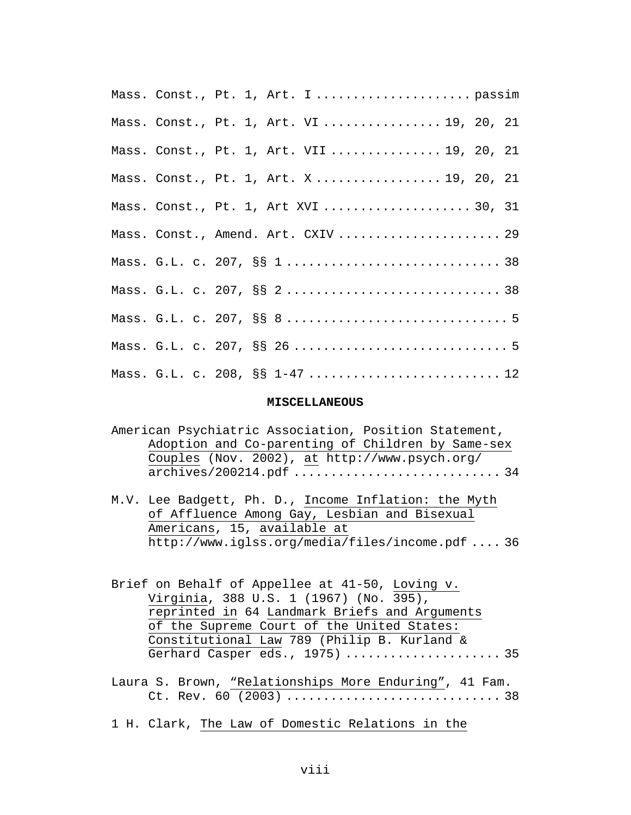|  | Mass. Const., Pt. 1, Art. I  passim       |
|--|-------------------------------------------|
|  | Mass. Const., Pt. 1, Art. VI 19, 20, 21   |
|  | Mass. Const., Pt. 1, Art. VII  19, 20, 21 |
|  | Mass. Const., Pt. 1, Art. X  19, 20, 21   |
|  | Mass. Const., Pt. 1, Art XVI  30, 31      |
|  | Mass. Const., Amend. Art. CXIV  29        |
|  |                                           |
|  |                                           |
|  |                                           |
|  |                                           |
|  | Mass. G.L. c. 208, §§ 1-47 12             |

#### **MISCELLANEOUS**

|  |  | American Psychiatric Association, Position Statement, |  |  |
|--|--|-------------------------------------------------------|--|--|
|  |  | Adoption and Co-parenting of Children by Same-sex     |  |  |
|  |  | Couples (Nov. 2002), at http://www.psych.org/         |  |  |
|  |  |                                                       |  |  |

- M.V. Lee Badgett, Ph. D., Income Inflation: the Myth of Affluence Among Gay, Lesbian and Bisexual Americans, 15, available at http://www.iglss.org/media/files/income.pdf .... 36
- Brief on Behalf of Appellee at 41-50, Loving v. Virginia, 388 U.S. 1 (1967) (No. 395), reprinted in 64 Landmark Briefs and Arguments of the Supreme Court of the United States: Constitutional Law 789 (Philip B. Kurland & Gerhard Casper eds., 1975) ..................... 35
- Laura S. Brown, "Relationships More Enduring", 41 Fam. Ct. Rev. 60 (2003) ............................. 38
- 1 H. Clark, The Law of Domestic Relations in the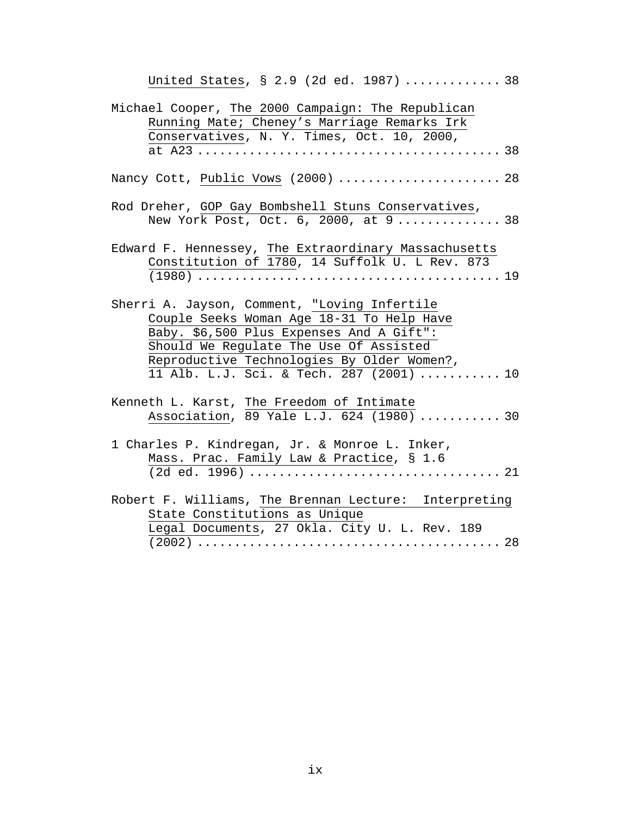| United States, § 2.9 (2d ed. 1987)  38                                                                                                                                                                                                                                    |
|---------------------------------------------------------------------------------------------------------------------------------------------------------------------------------------------------------------------------------------------------------------------------|
| Michael Cooper, The 2000 Campaign: The Republican<br>Running Mate; Cheney's Marriage Remarks Irk<br>Conservatives, N. Y. Times, Oct. 10, 2000,                                                                                                                            |
|                                                                                                                                                                                                                                                                           |
| Nancy Cott, Public Vows (2000)  28                                                                                                                                                                                                                                        |
| Rod Dreher, GOP Gay Bombshell Stuns Conservatives,<br>New York Post, Oct. 6, 2000, at 9 38                                                                                                                                                                                |
| Edward F. Hennessey, The Extraordinary Massachusetts<br>Constitution of 1780, 14 Suffolk U. L Rev. 873                                                                                                                                                                    |
| Sherri A. Jayson, Comment, "Loving Infertile<br>Couple Seeks Woman Age 18-31 To Help Have<br>Baby. \$6,500 Plus Expenses And A Gift":<br>Should We Regulate The Use Of Assisted<br>Reproductive Technologies By Older Women?,<br>11 Alb. L.J. Sci. & Tech. 287 (2001)  10 |
| Kenneth L. Karst, The Freedom of Intimate<br>Association, 89 Yale L.J. 624 (1980)  30                                                                                                                                                                                     |
| 1 Charles P. Kindregan, Jr. & Monroe L. Inker,<br>Mass. Prac. Family Law & Practice, § 1.6                                                                                                                                                                                |
| Robert F. Williams, The Brennan Lecture: Interpreting<br>State Constitutions as Unique<br>Legal Documents, 27 Okla. City U. L. Rev. 189                                                                                                                                   |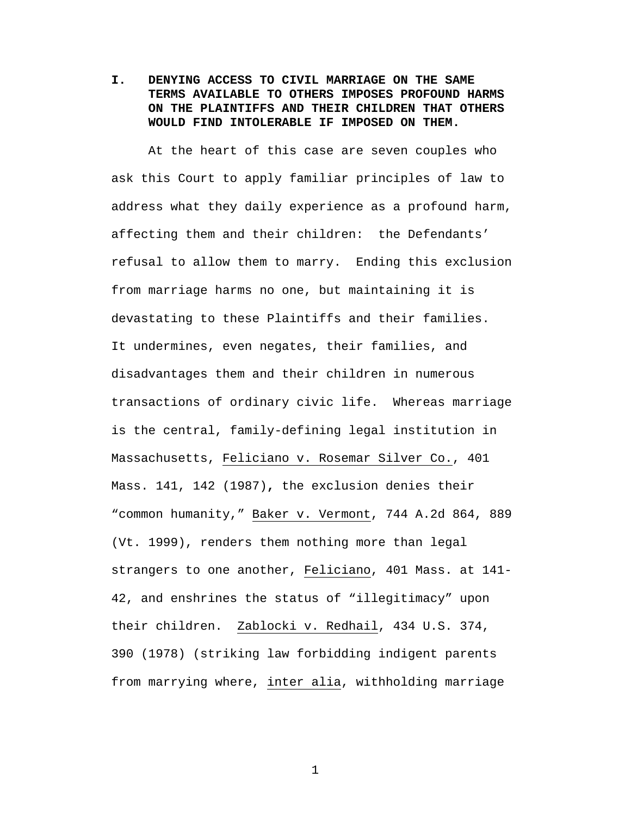**I. DENYING ACCESS TO CIVIL MARRIAGE ON THE SAME TERMS AVAILABLE TO OTHERS IMPOSES PROFOUND HARMS ON THE PLAINTIFFS AND THEIR CHILDREN THAT OTHERS WOULD FIND INTOLERABLE IF IMPOSED ON THEM.**

At the heart of this case are seven couples who ask this Court to apply familiar principles of law to address what they daily experience as a profound harm, affecting them and their children: the Defendants' refusal to allow them to marry. Ending this exclusion from marriage harms no one, but maintaining it is devastating to these Plaintiffs and their families. It undermines, even negates, their families, and disadvantages them and their children in numerous transactions of ordinary civic life. Whereas marriage is the central, family-defining legal institution in Massachusetts, Feliciano v. Rosemar Silver Co., 401 Mass. 141, 142 (1987)**,** the exclusion denies their "common humanity," Baker v. Vermont, 744 A.2d 864, 889 (Vt. 1999), renders them nothing more than legal strangers to one another, Feliciano, 401 Mass. at 141- 42, and enshrines the status of "illegitimacy" upon their children. Zablocki v. Redhail, 434 U.S. 374, 390 (1978) (striking law forbidding indigent parents from marrying where, inter alia, withholding marriage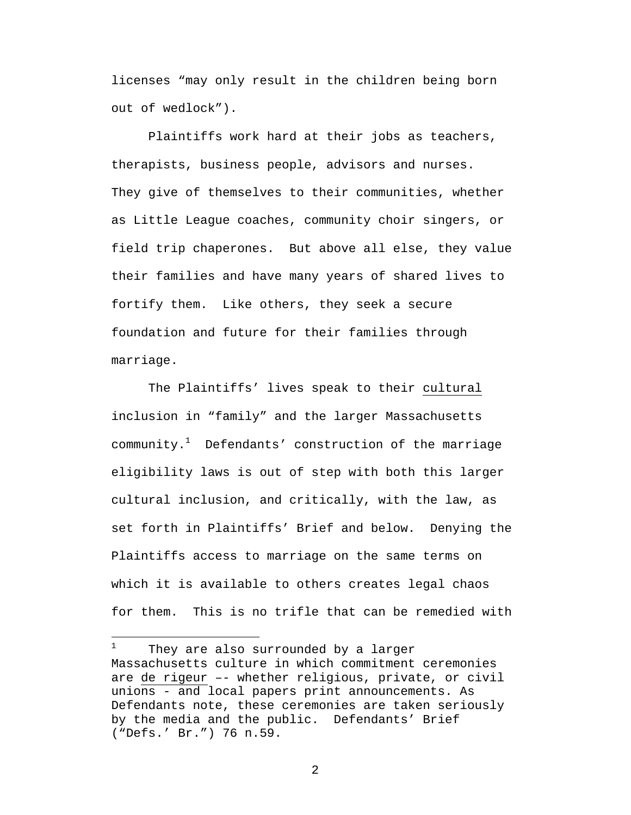licenses "may only result in the children being born out of wedlock").

Plaintiffs work hard at their jobs as teachers, therapists, business people, advisors and nurses. They give of themselves to their communities, whether as Little League coaches, community choir singers, or field trip chaperones. But above all else, they value their families and have many years of shared lives to fortify them. Like others, they seek a secure foundation and future for their families through marriage.

The Plaintiffs' lives speak to their cultural inclusion in "family" and the larger Massachusetts community. $1$  Defendants' construction of the marriage eligibility laws is out of step with both this larger cultural inclusion, and critically, with the law, as set forth in Plaintiffs' Brief and below. Denying the Plaintiffs access to marriage on the same terms on which it is available to others creates legal chaos for them. This is no trifle that can be remedied with

 $\overline{a}$ 

 $1$  They are also surrounded by a larger Massachusetts culture in which commitment ceremonies are de rigeur –- whether religious, private, or civil unions - and local papers print announcements. As Defendants note, these ceremonies are taken seriously by the media and the public. Defendants' Brief ("Defs.' Br.") 76 n.59.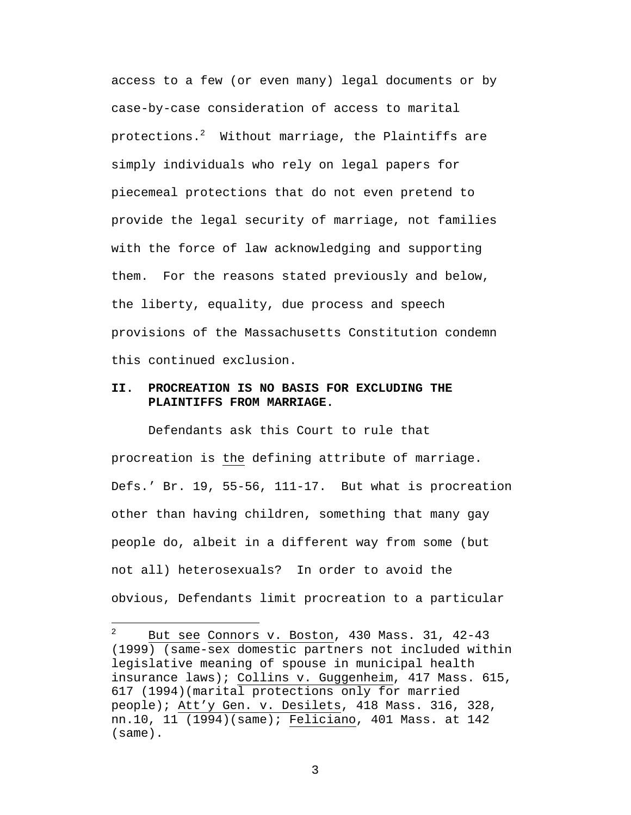access to a few (or even many) legal documents or by case-by-case consideration of access to marital protections. $2$  Without marriage, the Plaintiffs are simply individuals who rely on legal papers for piecemeal protections that do not even pretend to provide the legal security of marriage, not families with the force of law acknowledging and supporting them. For the reasons stated previously and below, the liberty, equality, due process and speech provisions of the Massachusetts Constitution condemn this continued exclusion.

# **II. PROCREATION IS NO BASIS FOR EXCLUDING THE PLAINTIFFS FROM MARRIAGE.**

Defendants ask this Court to rule that procreation is the defining attribute of marriage. Defs.' Br. 19, 55-56, 111-17. But what is procreation other than having children, something that many gay people do, albeit in a different way from some (but not all) heterosexuals? In order to avoid the obvious, Defendants limit procreation to a particular

 $\overline{a}$ 

<sup>&</sup>lt;sup>2</sup> But see Connors v. Boston, 430 Mass. 31, 42-43 (1999) (same-sex domestic partners not included within legislative meaning of spouse in municipal health insurance laws); Collins v. Guggenheim, 417 Mass. 615, 617 (1994)(marital protections only for married people); Att'y Gen. v. Desilets, 418 Mass. 316, 328, nn.10, 11 (1994)(same); Feliciano, 401 Mass. at 142 (same).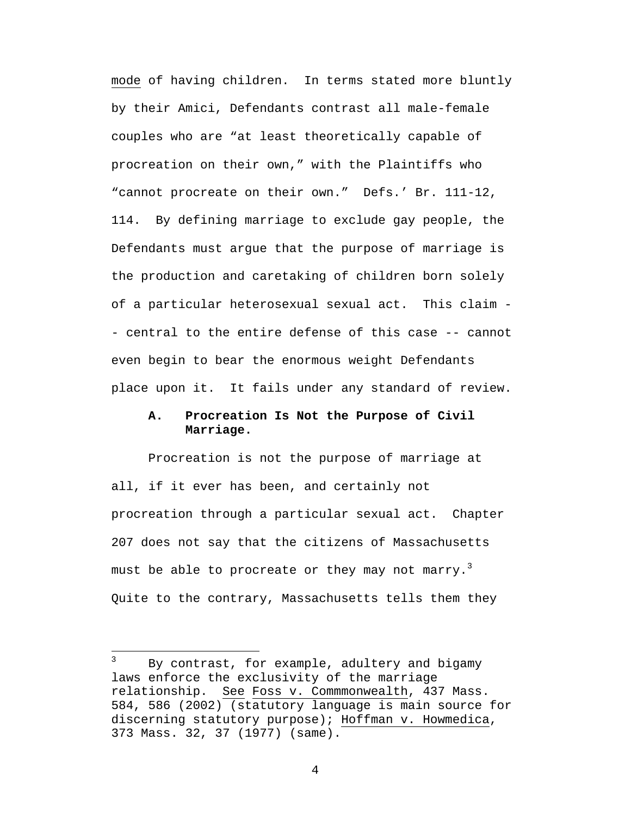mode of having children. In terms stated more bluntly by their Amici, Defendants contrast all male-female couples who are "at least theoretically capable of procreation on their own," with the Plaintiffs who "cannot procreate on their own." Defs.' Br. 111-12, 114. By defining marriage to exclude gay people, the Defendants must argue that the purpose of marriage is the production and caretaking of children born solely of a particular heterosexual sexual act. This claim - - central to the entire defense of this case -- cannot even begin to bear the enormous weight Defendants place upon it. It fails under any standard of review.

# **A. Procreation Is Not the Purpose of Civil Marriage.**

Procreation is not the purpose of marriage at all, if it ever has been, and certainly not procreation through a particular sexual act. Chapter 207 does not say that the citizens of Massachusetts must be able to procreate or they may not marry.<sup>3</sup> Quite to the contrary, Massachusetts tells them they

 $\overline{a}$ 

 $3$  By contrast, for example, adultery and bigamy laws enforce the exclusivity of the marriage relationship. See Foss v. Commmonwealth, 437 Mass. 584, 586 (2002) (statutory language is main source for discerning statutory purpose); Hoffman v. Howmedica, 373 Mass. 32, 37 (1977) (same).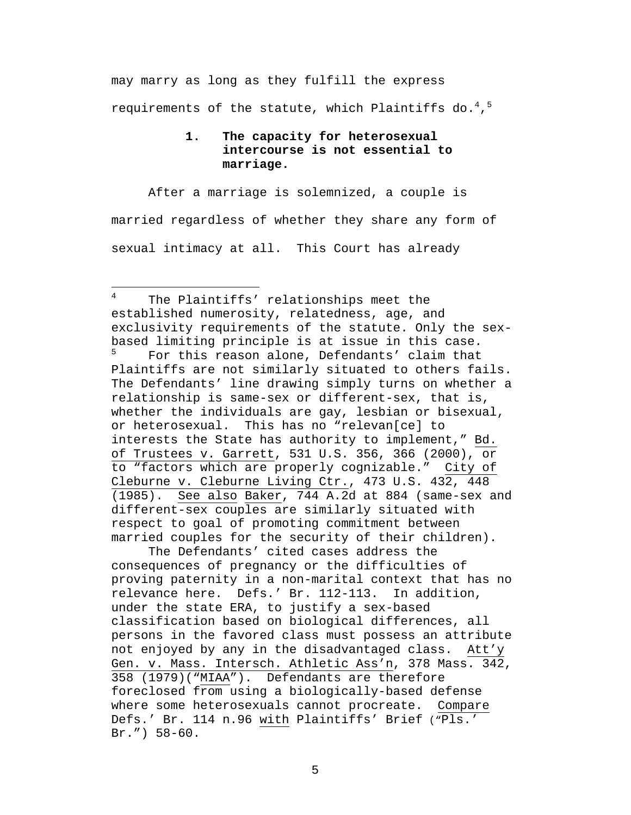may marry as long as they fulfill the express requirements of the statute, which Plaintiffs do. $^4$ , $^5$ 

# **1. The capacity for heterosexual intercourse is not essential to marriage.**

After a marriage is solemnized, a couple is married regardless of whether they share any form of sexual intimacy at all. This Court has already

<sup>4</sup> The Plaintiffs' relationships meet the established numerosity, relatedness, age, and exclusivity requirements of the statute. Only the sexbased limiting principle is at issue in this case.

<u>.</u>

For this reason alone, Defendants' claim that Plaintiffs are not similarly situated to others fails. The Defendants' line drawing simply turns on whether a relationship is same-sex or different-sex, that is, whether the individuals are gay, lesbian or bisexual, or heterosexual. This has no "relevan[ce] to interests the State has authority to implement," Bd. of Trustees v. Garrett, 531 U.S. 356, 366 (2000), or to "factors which are properly cognizable." City of Cleburne v. Cleburne Living Ctr., 473 U.S. 432, 448 (1985). See also Baker, 744 A.2d at 884 (same-sex and different-sex couples are similarly situated with respect to goal of promoting commitment between married couples for the security of their children).

The Defendants' cited cases address the consequences of pregnancy or the difficulties of proving paternity in a non-marital context that has no relevance here. Defs.' Br. 112-113. In addition, under the state ERA, to justify a sex-based classification based on biological differences, all persons in the favored class must possess an attribute not enjoyed by any in the disadvantaged class. Att'y Gen. v. Mass. Intersch. Athletic Ass'n, 378 Mass. 342, 358 (1979)("MIAA"). Defendants are therefore foreclosed from using a biologically-based defense where some heterosexuals cannot procreate. Compare Defs.' Br. 114 n.96 with Plaintiffs' Brief ("Pls.' Br.") 58-60.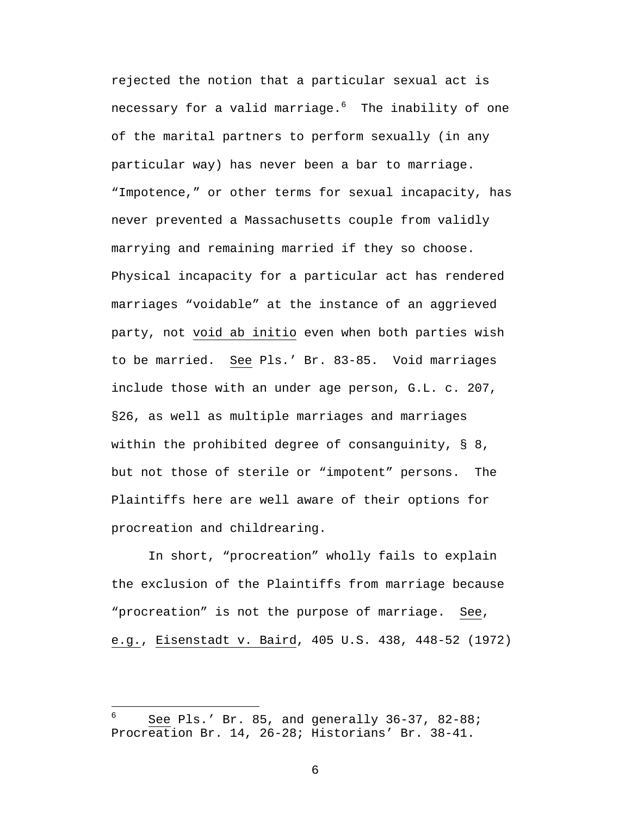rejected the notion that a particular sexual act is necessary for a valid marriage. $6$  The inability of one of the marital partners to perform sexually (in any particular way) has never been a bar to marriage. "Impotence," or other terms for sexual incapacity, has never prevented a Massachusetts couple from validly marrying and remaining married if they so choose. Physical incapacity for a particular act has rendered marriages "voidable" at the instance of an aggrieved party, not void ab initio even when both parties wish to be married. See Pls.' Br. 83-85. Void marriages include those with an under age person, G.L. c. 207, §26, as well as multiple marriages and marriages within the prohibited degree of consanguinity, § 8, but not those of sterile or "impotent" persons. The Plaintiffs here are well aware of their options for procreation and childrearing.

In short, "procreation" wholly fails to explain the exclusion of the Plaintiffs from marriage because "procreation" is not the purpose of marriage. See, e.g., Eisenstadt v. Baird, 405 U.S. 438, 448-52 (1972)

 $\overline{a}$ 

See Pls.' Br. 85, and generally 36-37, 82-88; Procreation Br. 14, 26-28; Historians' Br. 38-41.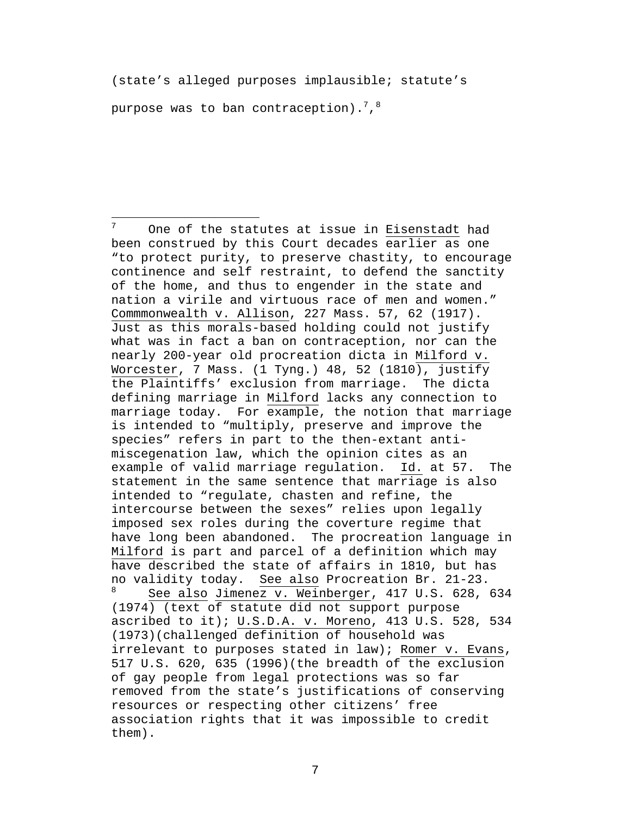(state's alleged purposes implausible; statute's

purpose was to ban contraception). $^{7}$ , $^{8}$ 

<u>.</u>

 $7$  One of the statutes at issue in Eisenstadt had been construed by this Court decades earlier as one "to protect purity, to preserve chastity, to encourage continence and self restraint, to defend the sanctity of the home, and thus to engender in the state and nation a virile and virtuous race of men and women." Commmonwealth v. Allison, 227 Mass. 57, 62 (1917). Just as this morals-based holding could not justify what was in fact a ban on contraception, nor can the nearly 200-year old procreation dicta in Milford v. Worcester, 7 Mass. (1 Tyng.) 48, 52 (1810), justify the Plaintiffs' exclusion from marriage. The dicta defining marriage in Milford lacks any connection to marriage today. For example, the notion that marriage is intended to "multiply, preserve and improve the species" refers in part to the then-extant antimiscegenation law, which the opinion cites as an example of valid marriage regulation. Id. at 57. The statement in the same sentence that marriage is also intended to "regulate, chasten and refine, the intercourse between the sexes" relies upon legally imposed sex roles during the coverture regime that have long been abandoned. The procreation language in Milford is part and parcel of a definition which may have described the state of affairs in 1810, but has no validity today. See also Procreation Br. 21-23. See also Jimenez v. Weinberger, 417 U.S. 628, 634 (1974) (text of statute did not support purpose ascribed to it); U.S.D.A. v. Moreno, 413 U.S. 528, 534 (1973)(challenged definition of household was irrelevant to purposes stated in law); Romer v. Evans, 517 U.S. 620, 635 (1996)(the breadth of the exclusion of gay people from legal protections was so far removed from the state's justifications of conserving resources or respecting other citizens' free association rights that it was impossible to credit them).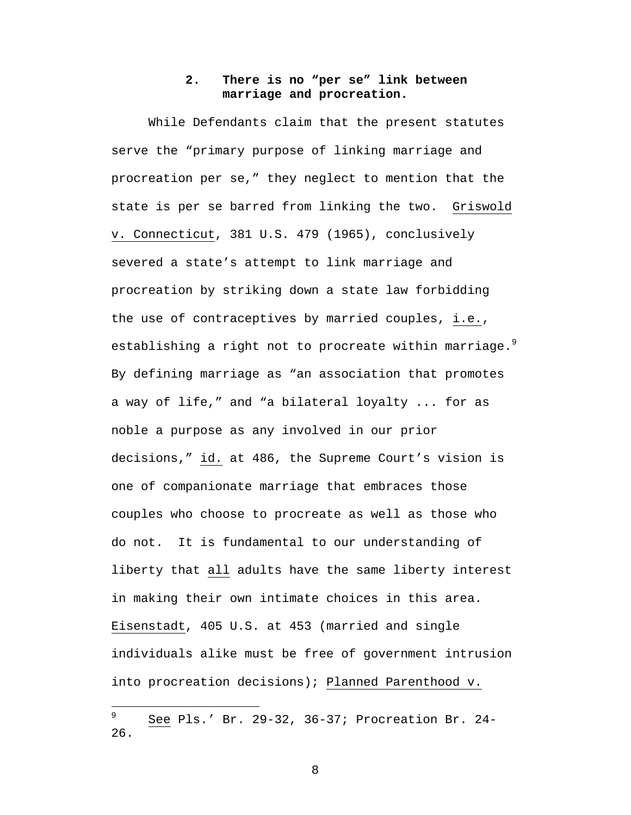## **2. There is no "per se" link between marriage and procreation.**

While Defendants claim that the present statutes serve the "primary purpose of linking marriage and procreation per se," they neglect to mention that the state is per se barred from linking the two. Griswold v. Connecticut, 381 U.S. 479 (1965), conclusively severed a state's attempt to link marriage and procreation by striking down a state law forbidding the use of contraceptives by married couples, i.e., establishing a right not to procreate within marriage. $9$ By defining marriage as "an association that promotes a way of life," and "a bilateral loyalty ... for as noble a purpose as any involved in our prior decisions," id. at 486, the Supreme Court's vision is one of companionate marriage that embraces those couples who choose to procreate as well as those who do not. It is fundamental to our understanding of liberty that all adults have the same liberty interest in making their own intimate choices in this area. Eisenstadt, 405 U.S. at 453 (married and single individuals alike must be free of government intrusion into procreation decisions); Planned Parenthood v.

 $\overline{a}$ 

See Pls.' Br. 29-32, 36-37; Procreation Br. 24-26.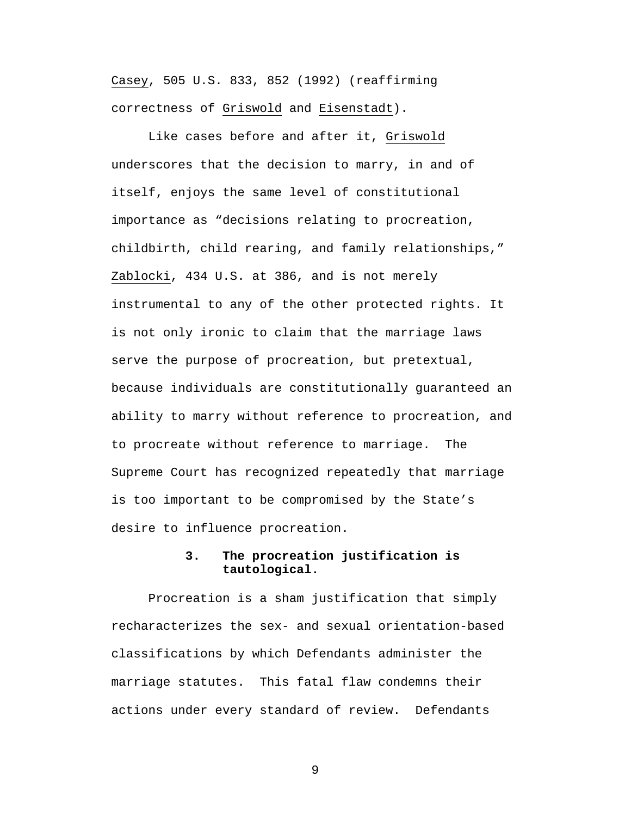Casey, 505 U.S. 833, 852 (1992) (reaffirming correctness of Griswold and Eisenstadt).

Like cases before and after it, Griswold underscores that the decision to marry, in and of itself, enjoys the same level of constitutional importance as "decisions relating to procreation, childbirth, child rearing, and family relationships," Zablocki, 434 U.S. at 386, and is not merely instrumental to any of the other protected rights. It is not only ironic to claim that the marriage laws serve the purpose of procreation, but pretextual, because individuals are constitutionally guaranteed an ability to marry without reference to procreation, and to procreate without reference to marriage. The Supreme Court has recognized repeatedly that marriage is too important to be compromised by the State's desire to influence procreation.

# **3. The procreation justification is tautological.**

Procreation is a sham justification that simply recharacterizes the sex- and sexual orientation-based classifications by which Defendants administer the marriage statutes. This fatal flaw condemns their actions under every standard of review. Defendants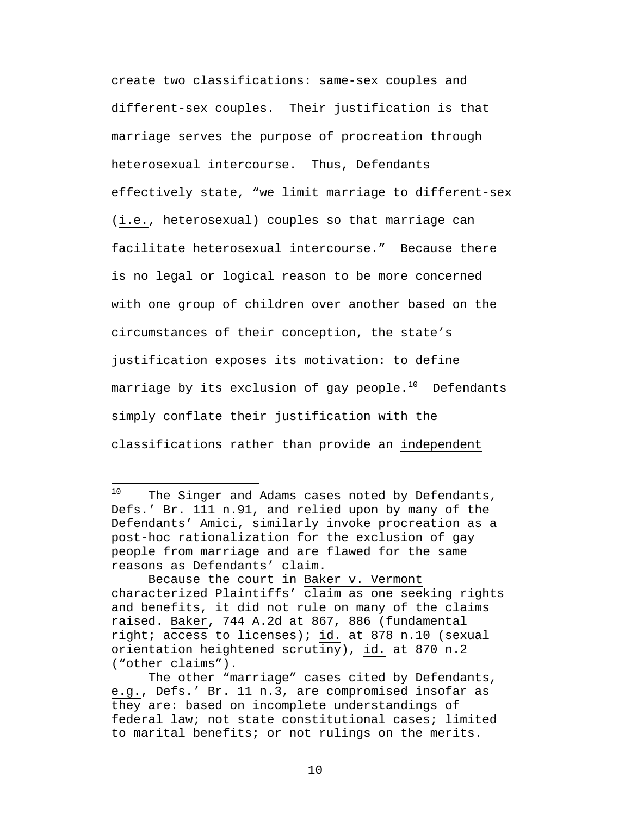create two classifications: same-sex couples and different-sex couples. Their justification is that marriage serves the purpose of procreation through heterosexual intercourse. Thus, Defendants effectively state, "we limit marriage to different-sex (i.e., heterosexual) couples so that marriage can facilitate heterosexual intercourse." Because there is no legal or logical reason to be more concerned with one group of children over another based on the circumstances of their conception, the state's justification exposes its motivation: to define marriage by its exclusion of gay people. $10$  Defendants simply conflate their justification with the classifications rather than provide an independent

 $10$ The Singer and Adams cases noted by Defendants, Defs.' Br. 111 n.91, and relied upon by many of the Defendants' Amici, similarly invoke procreation as a post-hoc rationalization for the exclusion of gay people from marriage and are flawed for the same reasons as Defendants' claim.

Because the court in Baker v. Vermont characterized Plaintiffs' claim as one seeking rights and benefits, it did not rule on many of the claims raised. Baker, 744 A.2d at 867, 886 (fundamental right; access to licenses); id. at 878 n.10 (sexual orientation heightened scrutiny), id. at 870 n.2 ("other claims").

The other "marriage" cases cited by Defendants, e.g., Defs.' Br. 11 n.3, are compromised insofar as they are: based on incomplete understandings of federal law; not state constitutional cases; limited to marital benefits; or not rulings on the merits.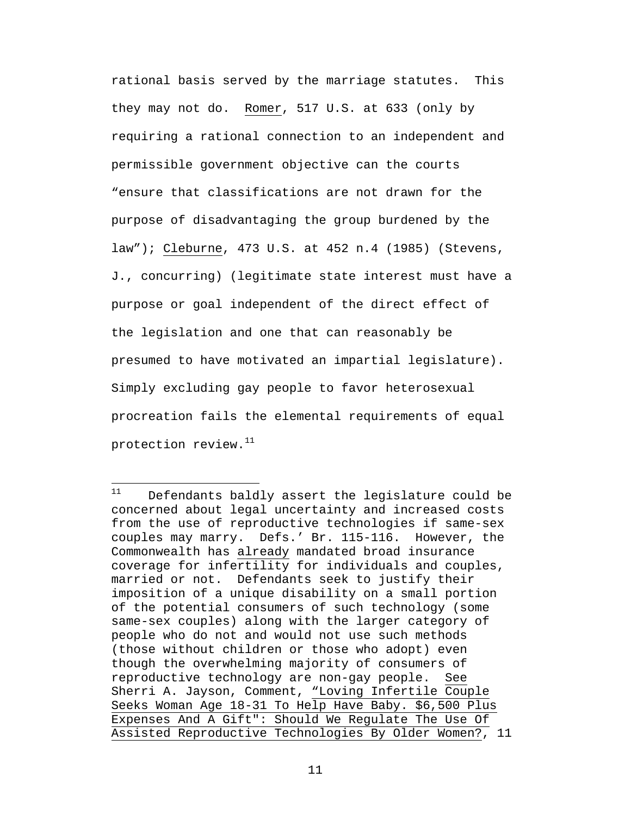rational basis served by the marriage statutes. This they may not do. Romer, 517 U.S. at 633 (only by requiring a rational connection to an independent and permissible government objective can the courts "ensure that classifications are not drawn for the purpose of disadvantaging the group burdened by the law"); Cleburne, 473 U.S. at 452 n.4 (1985) (Stevens, J., concurring) (legitimate state interest must have a purpose or goal independent of the direct effect of the legislation and one that can reasonably be presumed to have motivated an impartial legislature). Simply excluding gay people to favor heterosexual procreation fails the elemental requirements of equal protection review.<sup>11</sup>

 $11$ Defendants baldly assert the legislature could be concerned about legal uncertainty and increased costs from the use of reproductive technologies if same-sex couples may marry. Defs.' Br. 115-116. However, the Commonwealth has already mandated broad insurance coverage for infertility for individuals and couples, married or not. Defendants seek to justify their imposition of a unique disability on a small portion of the potential consumers of such technology (some same-sex couples) along with the larger category of people who do not and would not use such methods (those without children or those who adopt) even though the overwhelming majority of consumers of reproductive technology are non-gay people. See Sherri A. Jayson, Comment, "Loving Infertile Couple Seeks Woman Age 18-31 To Help Have Baby. \$6,500 Plus Expenses And A Gift": Should We Regulate The Use Of Assisted Reproductive Technologies By Older Women?, 11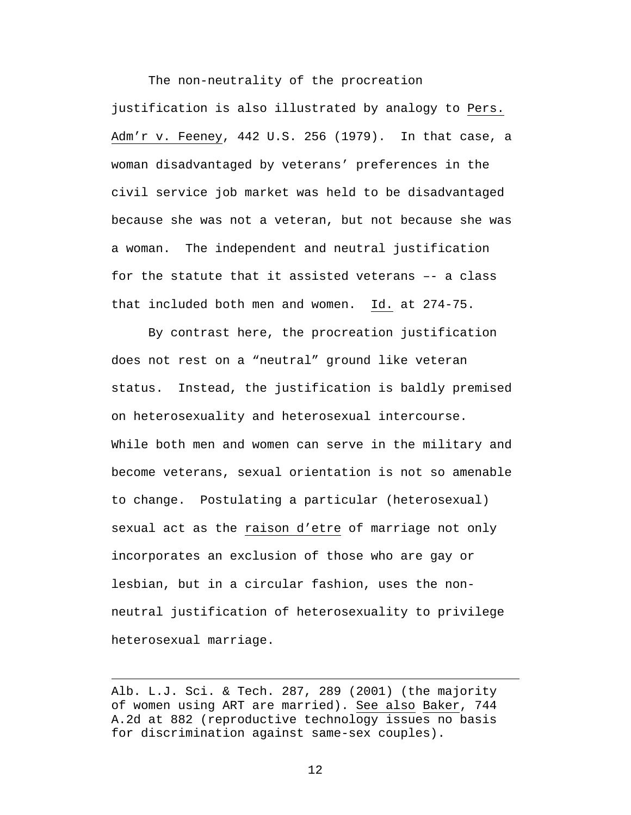The non-neutrality of the procreation justification is also illustrated by analogy to Pers. Adm'r v. Feeney, 442 U.S. 256 (1979). In that case, a woman disadvantaged by veterans' preferences in the civil service job market was held to be disadvantaged because she was not a veteran, but not because she was a woman. The independent and neutral justification for the statute that it assisted veterans –- a class that included both men and women. Id. at 274-75.

By contrast here, the procreation justification does not rest on a "neutral" ground like veteran status. Instead, the justification is baldly premised on heterosexuality and heterosexual intercourse. While both men and women can serve in the military and become veterans, sexual orientation is not so amenable to change. Postulating a particular (heterosexual) sexual act as the raison d'etre of marriage not only incorporates an exclusion of those who are gay or lesbian, but in a circular fashion, uses the nonneutral justification of heterosexuality to privilege heterosexual marriage.

Alb. L.J. Sci. & Tech. 287, 289 (2001) (the majority of women using ART are married). See also Baker, 744 A.2d at 882 (reproductive technology issues no basis for discrimination against same-sex couples).

 $\overline{a}$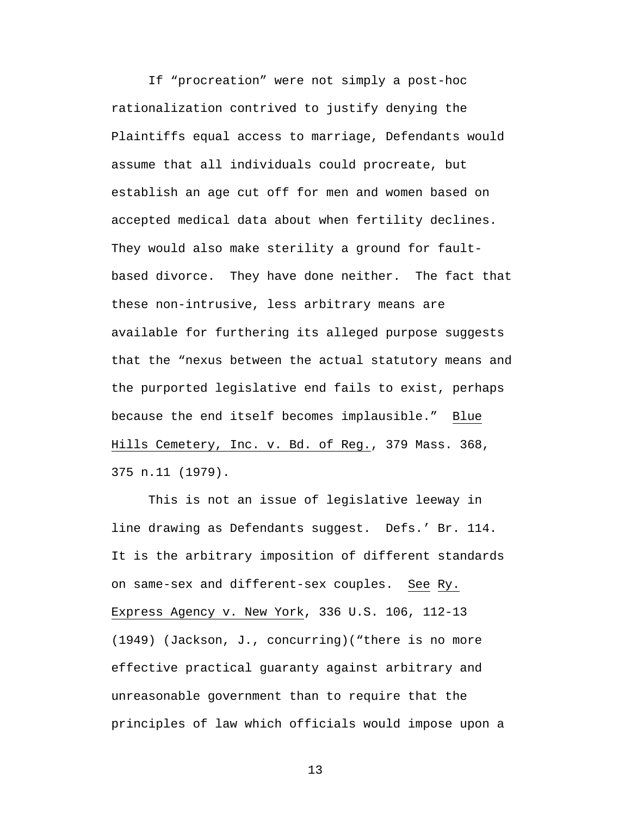If "procreation" were not simply a post-hoc rationalization contrived to justify denying the Plaintiffs equal access to marriage, Defendants would assume that all individuals could procreate, but establish an age cut off for men and women based on accepted medical data about when fertility declines. They would also make sterility a ground for faultbased divorce. They have done neither. The fact that these non-intrusive, less arbitrary means are available for furthering its alleged purpose suggests that the "nexus between the actual statutory means and the purported legislative end fails to exist, perhaps because the end itself becomes implausible." Blue Hills Cemetery, Inc. v. Bd. of Reg., 379 Mass. 368, 375 n.11 (1979).

This is not an issue of legislative leeway in line drawing as Defendants suggest. Defs.' Br. 114. It is the arbitrary imposition of different standards on same-sex and different-sex couples. See Ry. Express Agency v. New York, 336 U.S. 106, 112-13 (1949) (Jackson, J., concurring)("there is no more effective practical guaranty against arbitrary and unreasonable government than to require that the principles of law which officials would impose upon a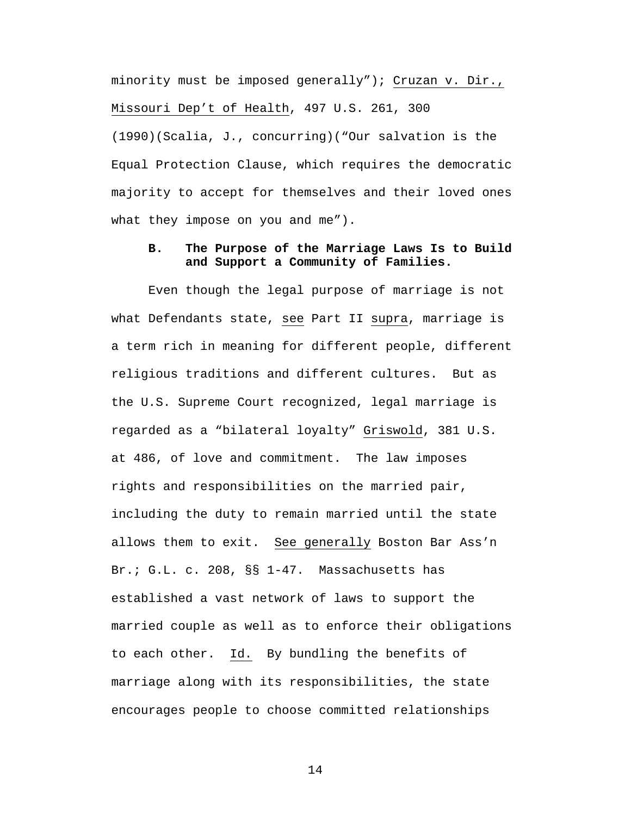minority must be imposed generally"); Cruzan v. Dir., Missouri Dep't of Health, 497 U.S. 261, 300 (1990)(Scalia, J., concurring)("Our salvation is the Equal Protection Clause, which requires the democratic majority to accept for themselves and their loved ones what they impose on you and me").

# **B. The Purpose of the Marriage Laws Is to Build and Support a Community of Families.**

Even though the legal purpose of marriage is not what Defendants state, see Part II supra, marriage is a term rich in meaning for different people, different religious traditions and different cultures. But as the U.S. Supreme Court recognized, legal marriage is regarded as a "bilateral loyalty" Griswold, 381 U.S. at 486, of love and commitment. The law imposes rights and responsibilities on the married pair, including the duty to remain married until the state allows them to exit. See generally Boston Bar Ass'n Br.; G.L. c. 208, §§ 1-47. Massachusetts has established a vast network of laws to support the married couple as well as to enforce their obligations to each other. Id. By bundling the benefits of marriage along with its responsibilities, the state encourages people to choose committed relationships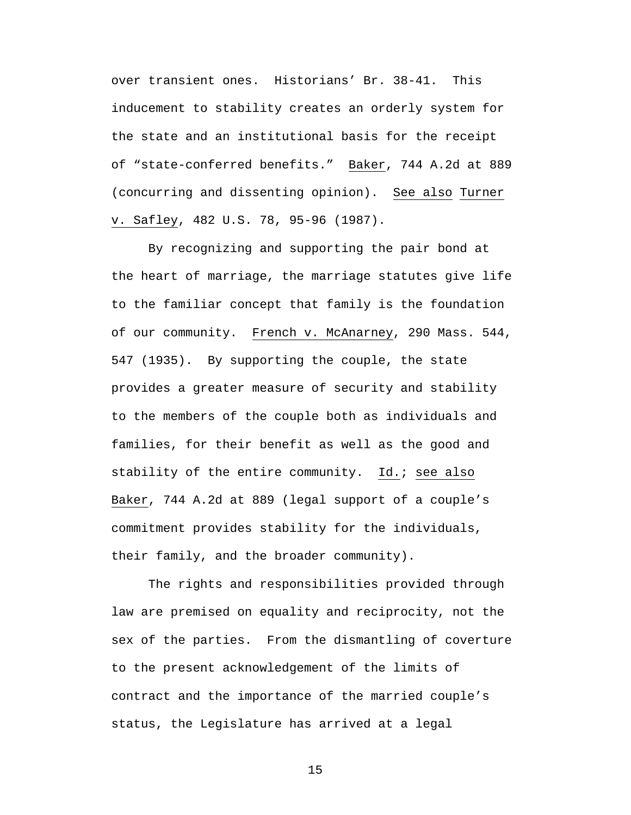over transient ones. Historians' Br. 38-41. This inducement to stability creates an orderly system for the state and an institutional basis for the receipt of "state-conferred benefits." Baker, 744 A.2d at 889 (concurring and dissenting opinion). See also Turner v. Safley, 482 U.S. 78, 95-96 (1987).

By recognizing and supporting the pair bond at the heart of marriage, the marriage statutes give life to the familiar concept that family is the foundation of our community. French v. McAnarney, 290 Mass. 544, 547 (1935).By supporting the couple, the state provides a greater measure of security and stability to the members of the couple both as individuals and families, for their benefit as well as the good and stability of the entire community. Id.; see also Baker, 744 A.2d at 889 (legal support of a couple's commitment provides stability for the individuals, their family, and the broader community).

The rights and responsibilities provided through law are premised on equality and reciprocity, not the sex of the parties. From the dismantling of coverture to the present acknowledgement of the limits of contract and the importance of the married couple's status, the Legislature has arrived at a legal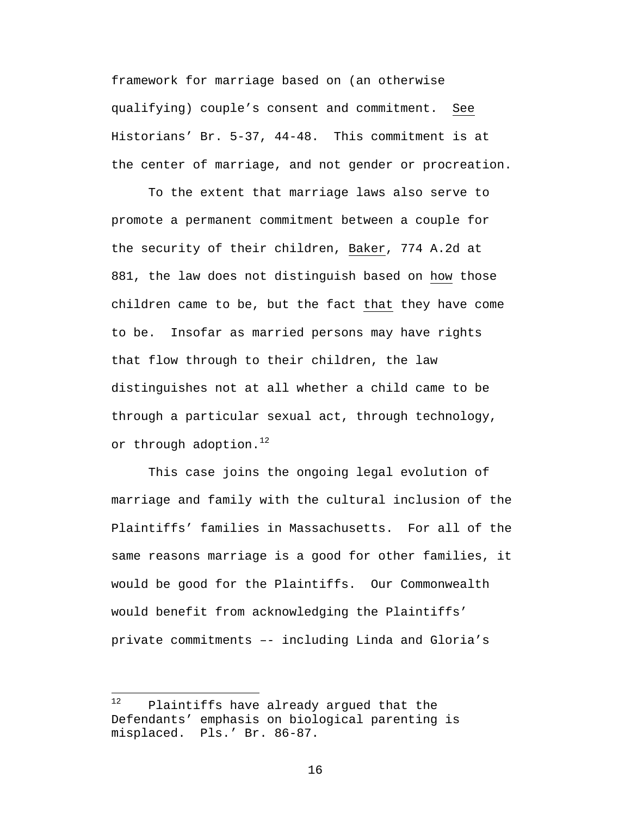framework for marriage based on (an otherwise qualifying) couple's consent and commitment. See Historians' Br. 5-37, 44-48. This commitment is at the center of marriage, and not gender or procreation.

To the extent that marriage laws also serve to promote a permanent commitment between a couple for the security of their children, Baker, 774 A.2d at 881, the law does not distinguish based on how those children came to be, but the fact that they have come to be. Insofar as married persons may have rights that flow through to their children, the law distinguishes not at all whether a child came to be through a particular sexual act, through technology, or through adoption. $12$ 

This case joins the ongoing legal evolution of marriage and family with the cultural inclusion of the Plaintiffs' families in Massachusetts. For all of the same reasons marriage is a good for other families, it would be good for the Plaintiffs. Our Commonwealth would benefit from acknowledging the Plaintiffs' private commitments –- including Linda and Gloria's

 $12$ Plaintiffs have already argued that the Defendants' emphasis on biological parenting is misplaced. Pls.' Br. 86-87.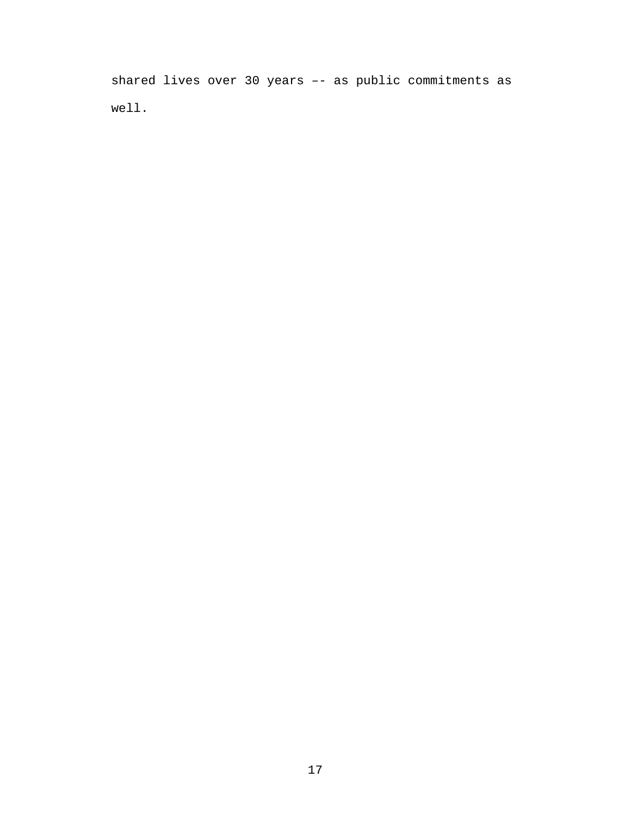shared lives over 30 years –- as public commitments as well.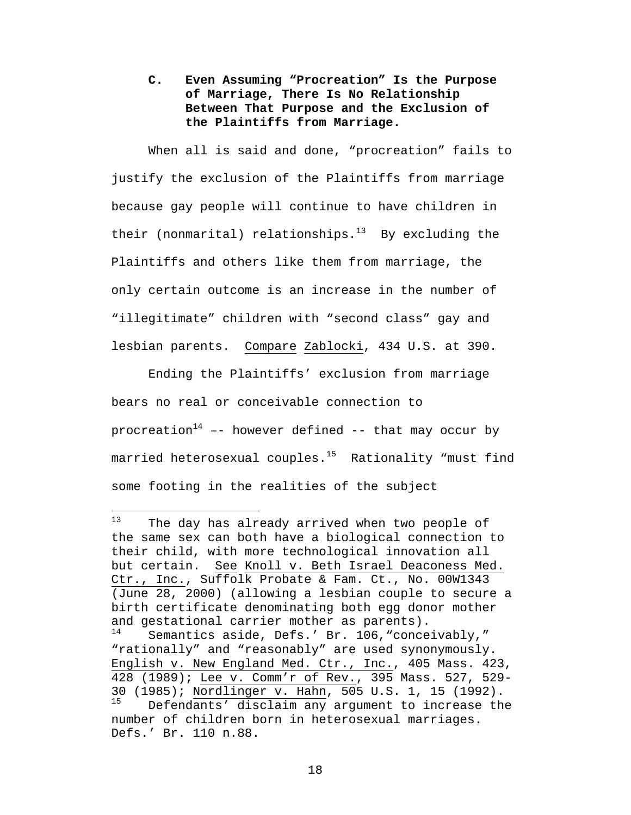**C. Even Assuming "Procreation" Is the Purpose of Marriage, There Is No Relationship Between That Purpose and the Exclusion of the Plaintiffs from Marriage.**

When all is said and done, "procreation" fails to justify the exclusion of the Plaintiffs from marriage because gay people will continue to have children in their (nonmarital) relationships. $13$  By excluding the Plaintiffs and others like them from marriage, the only certain outcome is an increase in the number of "illegitimate" children with "second class" gay and lesbian parents. Compare Zablocki, 434 U.S. at 390.

Ending the Plaintiffs' exclusion from marriage bears no real or conceivable connection to procreation<sup>14</sup> -- however defined -- that may occur by married heterosexual couples.<sup>15</sup> Rationality "must find some footing in the realities of the subject

<u>.</u>

 $13$  The day has already arrived when two people of the same sex can both have a biological connection to their child, with more technological innovation all but certain. See Knoll v. Beth Israel Deaconess Med. Ctr., Inc., Suffolk Probate & Fam. Ct., No. 00W1343 (June 28, 2000) (allowing a lesbian couple to secure a birth certificate denominating both egg donor mother and gestational carrier mother as parents).<br> $14$  semantics aside Defs (Br. 106 "conce Semantics aside, Defs.' Br. 106, "conceivably," "rationally" and "reasonably" are used synonymously. English v. New England Med. Ctr., Inc., 405 Mass. 423, 428 (1989); Lee v. Comm'r of Rev., 395 Mass. 527, 529- 30  $(1985)$ ; Nordlinger v. Hahn, 505 U.S. 1, 15  $(1992)$ .<br><sup>15</sup> Defendante' discloim any axeument to increase the Defendants' disclaim any argument to increase the number of children born in heterosexual marriages. Defs.' Br. 110 n.88.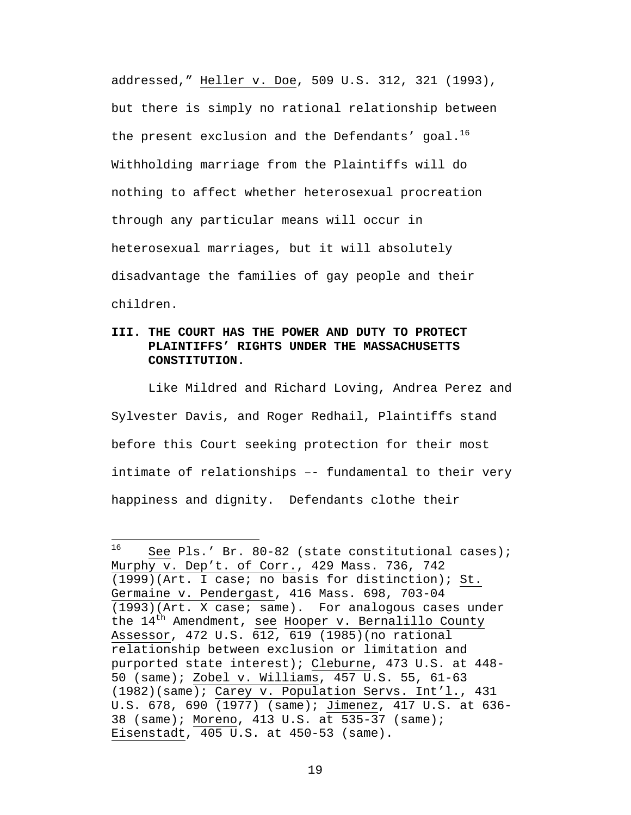addressed," Heller v. Doe, 509 U.S. 312, 321 (1993), but there is simply no rational relationship between the present exclusion and the Defendants' goal. $^{16}$ Withholding marriage from the Plaintiffs will do nothing to affect whether heterosexual procreation through any particular means will occur in heterosexual marriages, but it will absolutely disadvantage the families of gay people and their children.

# **III. THE COURT HAS THE POWER AND DUTY TO PROTECT PLAINTIFFS' RIGHTS UNDER THE MASSACHUSETTS CONSTITUTION.**

Like Mildred and Richard Loving, Andrea Perez and Sylvester Davis, and Roger Redhail, Plaintiffs stand before this Court seeking protection for their most intimate of relationships –- fundamental to their very happiness and dignity. Defendants clothe their

<sup>16</sup> See Pls.' Br. 80-82 (state constitutional cases); Murphy v. Dep't. of Corr., 429 Mass. 736, 742 (1999)(Art. I case; no basis for distinction); St. Germaine v. Pendergast, 416 Mass. 698, 703-04 (1993)(Art. X case; same). For analogous cases under the  $14^{th}$  Amendment, see Hooper v. Bernalillo County Assessor, 472 U.S. 612, 619 (1985)(no rational relationship between exclusion or limitation and purported state interest); Cleburne, 473 U.S. at 448- 50 (same); Zobel v. Williams, 457 U.S. 55, 61-63 (1982)(same); Carey v. Population Servs. Int'l., 431 U.S. 678, 690 (1977) (same); Jimenez, 417 U.S. at 636- 38 (same); Moreno, 413 U.S. at 535-37 (same); Eisenstadt, 405 U.S. at 450-53 (same).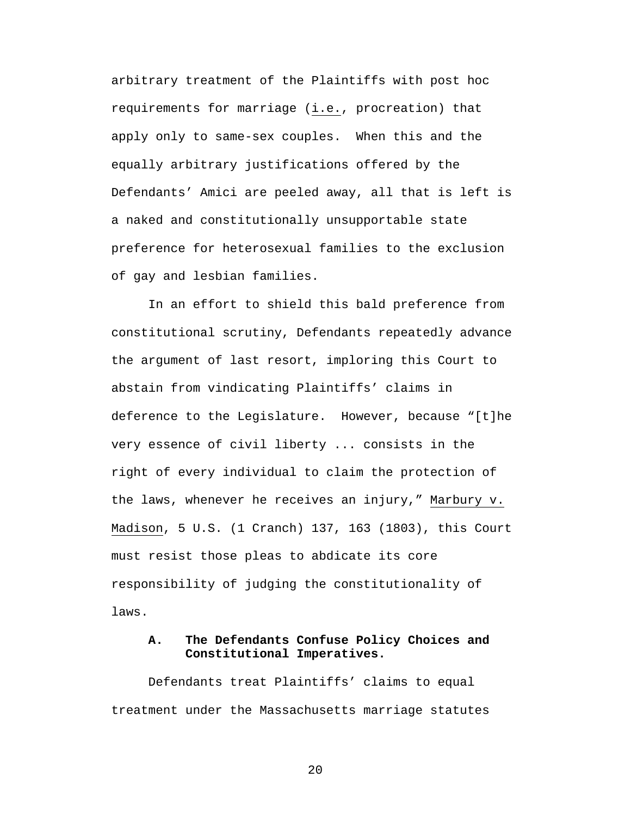arbitrary treatment of the Plaintiffs with post hoc requirements for marriage (i.e., procreation) that apply only to same-sex couples. When this and the equally arbitrary justifications offered by the Defendants' Amici are peeled away, all that is left is a naked and constitutionally unsupportable state preference for heterosexual families to the exclusion of gay and lesbian families.

In an effort to shield this bald preference from constitutional scrutiny, Defendants repeatedly advance the argument of last resort, imploring this Court to abstain from vindicating Plaintiffs' claims in deference to the Legislature. However, because "[t]he very essence of civil liberty ... consists in the right of every individual to claim the protection of the laws, whenever he receives an injury," Marbury v. Madison, 5 U.S. (1 Cranch) 137, 163 (1803), this Court must resist those pleas to abdicate its core responsibility of judging the constitutionality of laws.

# **A. The Defendants Confuse Policy Choices and Constitutional Imperatives.**

Defendants treat Plaintiffs' claims to equal treatment under the Massachusetts marriage statutes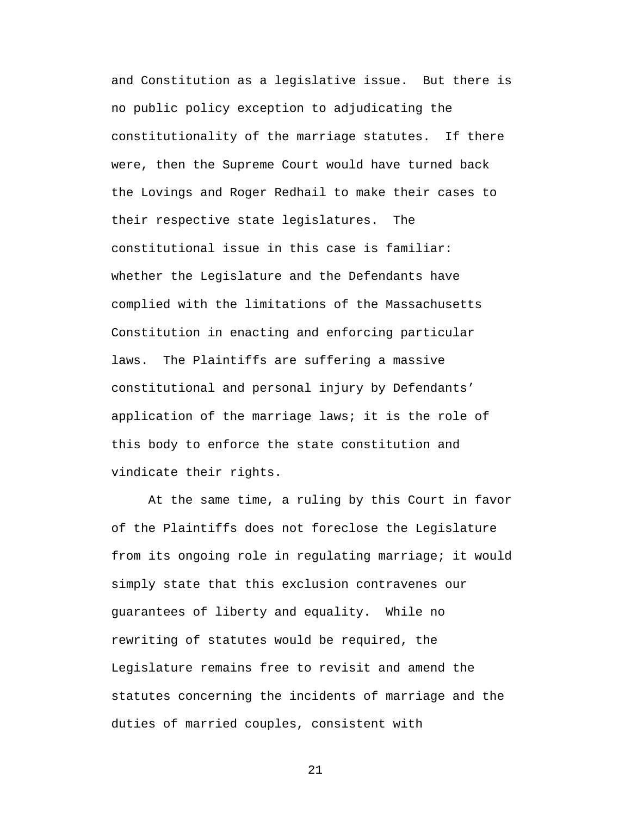and Constitution as a legislative issue. But there is no public policy exception to adjudicating the constitutionality of the marriage statutes. If there were, then the Supreme Court would have turned back the Lovings and Roger Redhail to make their cases to their respective state legislatures. The constitutional issue in this case is familiar: whether the Legislature and the Defendants have complied with the limitations of the Massachusetts Constitution in enacting and enforcing particular laws. The Plaintiffs are suffering a massive constitutional and personal injury by Defendants' application of the marriage laws; it is the role of this body to enforce the state constitution and vindicate their rights.

At the same time, a ruling by this Court in favor of the Plaintiffs does not foreclose the Legislature from its ongoing role in regulating marriage; it would simply state that this exclusion contravenes our guarantees of liberty and equality. While no rewriting of statutes would be required, the Legislature remains free to revisit and amend the statutes concerning the incidents of marriage and the duties of married couples, consistent with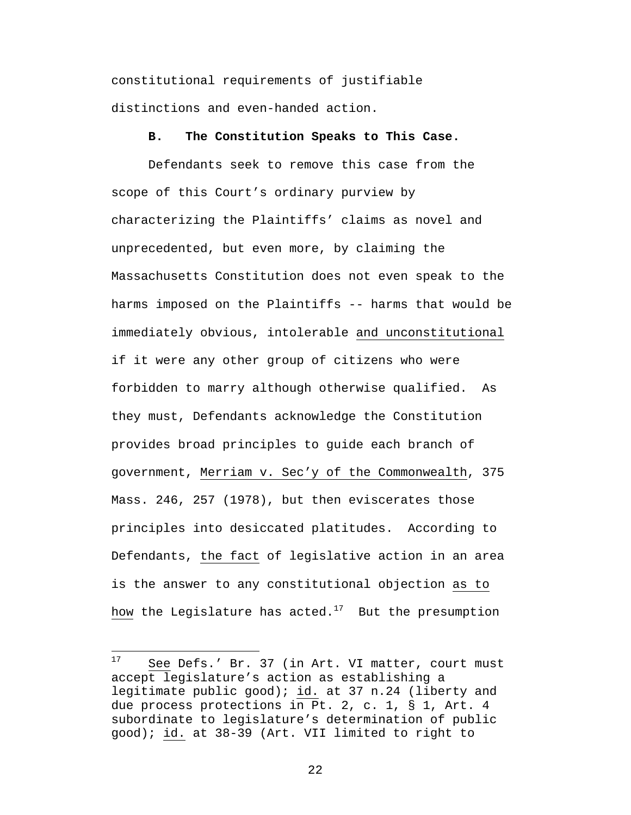constitutional requirements of justifiable distinctions and even-handed action.

### **B. The Constitution Speaks to This Case.**

Defendants seek to remove this case from the scope of this Court's ordinary purview by characterizing the Plaintiffs' claims as novel and unprecedented, but even more, by claiming the Massachusetts Constitution does not even speak to the harms imposed on the Plaintiffs -- harms that would be immediately obvious, intolerable and unconstitutional if it were any other group of citizens who were forbidden to marry although otherwise qualified. As they must, Defendants acknowledge the Constitution provides broad principles to guide each branch of government, Merriam v. Sec'y of the Commonwealth, 375 Mass. 246, 257 (1978), but then eviscerates those principles into desiccated platitudes. According to Defendants, the fact of legislative action in an area is the answer to any constitutional objection as to how the Legislature has acted.<sup>17</sup> But the presumption

 $\overline{a}$ 

<sup>&</sup>lt;sup>17</sup> See Defs.' Br. 37 (in Art. VI matter, court must accept legislature's action as establishing a legitimate public good); id. at 37 n.24 (liberty and due process protections in Pt. 2, c. 1, § 1, Art. 4 subordinate to legislature's determination of public good); id. at 38-39 (Art. VII limited to right to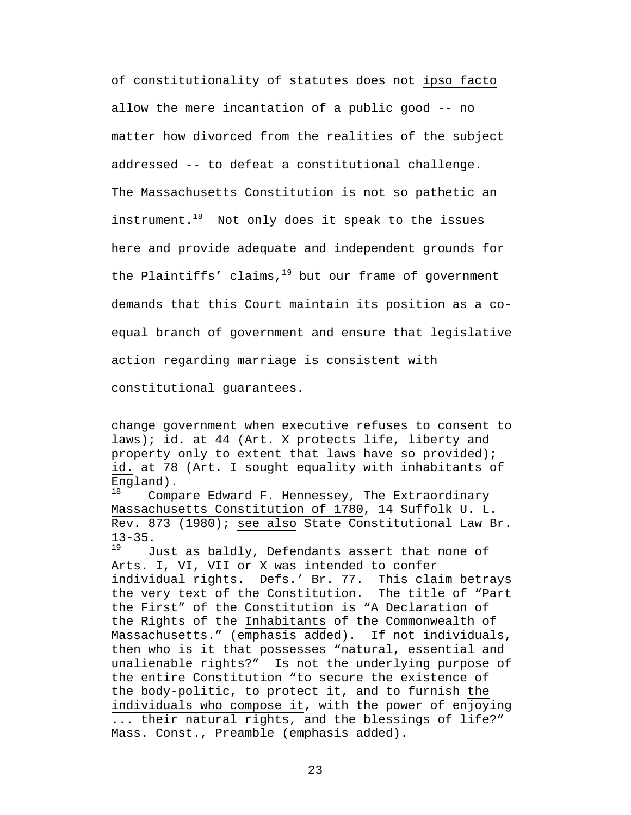of constitutionality of statutes does not ipso facto allow the mere incantation of a public good -- no matter how divorced from the realities of the subject addressed -- to defeat a constitutional challenge. The Massachusetts Constitution is not so pathetic an instrument. $18$  Not only does it speak to the issues here and provide adequate and independent grounds for the Plaintiffs' claims, $19$  but our frame of government demands that this Court maintain its position as a coequal branch of government and ensure that legislative action regarding marriage is consistent with constitutional guarantees.

change government when executive refuses to consent to laws); id. at 44 (Art. X protects life, liberty and property only to extent that laws have so provided); id. at 78 (Art. I sought equality with inhabitants of England).<br> $18$  Comp

1

Compare Edward F. Hennessey, The Extraordinary Massachusetts Constitution of 1780, 14 Suffolk U. L. Rev. 873 (1980); see also State Constitutional Law Br.  $13-35.$ 

Just as baldly, Defendants assert that none of Arts. I, VI, VII or X was intended to confer individual rights. Defs.' Br. 77. This claim betrays the very text of the Constitution. The title of "Part the First" of the Constitution is "A Declaration of the Rights of the Inhabitants of the Commonwealth of Massachusetts." (emphasis added). If not individuals, then who is it that possesses "natural, essential and unalienable rights?" Is not the underlying purpose of the entire Constitution "to secure the existence of the body-politic, to protect it, and to furnish the individuals who compose it, with the power of enjoying ... their natural rights, and the blessings of life?" Mass. Const., Preamble (emphasis added).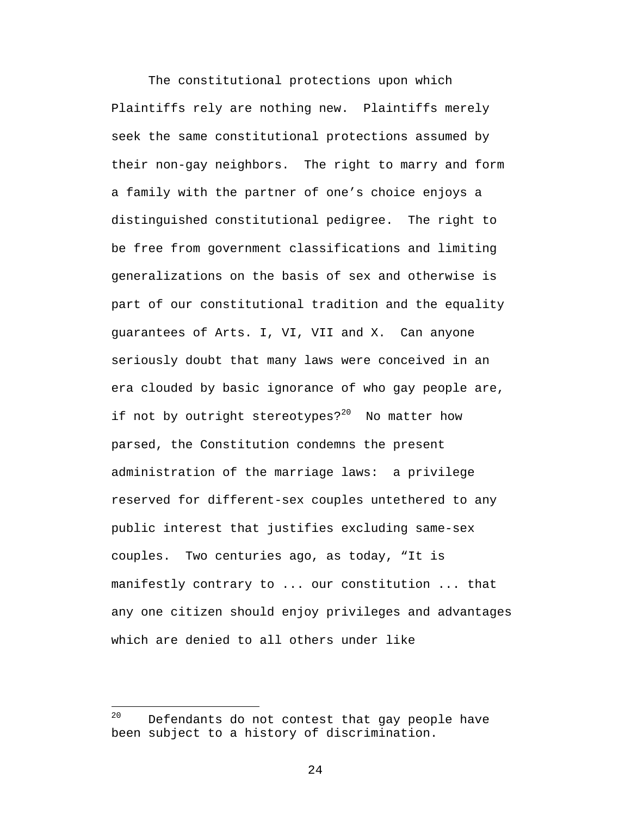The constitutional protections upon which Plaintiffs rely are nothing new. Plaintiffs merely seek the same constitutional protections assumed by their non-gay neighbors. The right to marry and form a family with the partner of one's choice enjoys a distinguished constitutional pedigree. The right to be free from government classifications and limiting generalizations on the basis of sex and otherwise is part of our constitutional tradition and the equality guarantees of Arts. I, VI, VII and X. Can anyone seriously doubt that many laws were conceived in an era clouded by basic ignorance of who gay people are, if not by outright stereotypes?<sup>20</sup> No matter how parsed, the Constitution condemns the present administration of the marriage laws: a privilege reserved for different-sex couples untethered to any public interest that justifies excluding same-sex couples. Two centuries ago, as today, "It is manifestly contrary to ... our constitution ... that any one citizen should enjoy privileges and advantages which are denied to all others under like

 $20$  Defendants do not contest that gay people have been subject to a history of discrimination.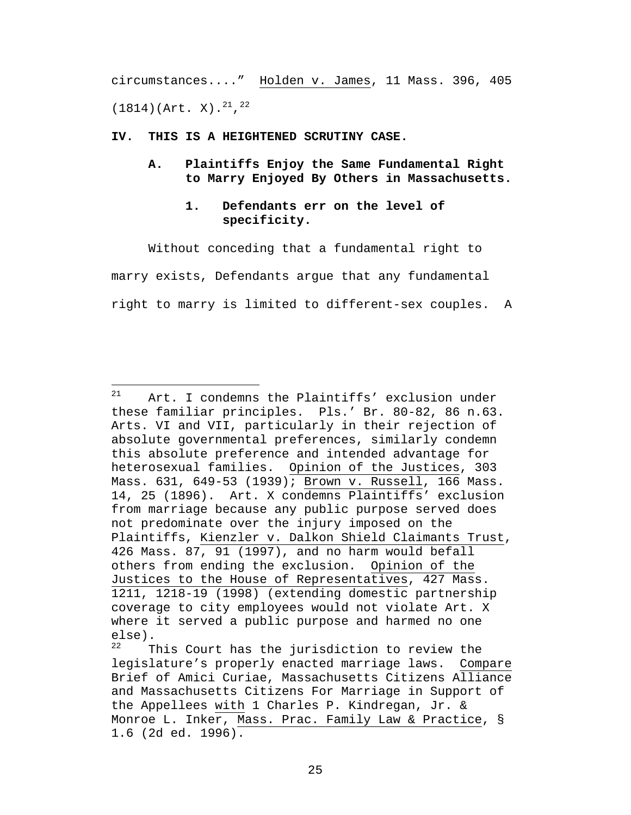circumstances...." Holden v. James, 11 Mass. 396, 405  $(1814)(\text{Art. } X).^{21}$ ,  $^{22}$ 

#### **IV. THIS IS A HEIGHTENED SCRUTINY CASE.**

 $\overline{a}$ 

**A. Plaintiffs Enjoy the Same Fundamental Right to Marry Enjoyed By Others in Massachusetts.**

### **1. Defendants err on the level of specificity.**

Without conceding that a fundamental right to marry exists, Defendants argue that any fundamental right to marry is limited to different-sex couples. A

 $21$  Art. I condemns the Plaintiffs' exclusion under these familiar principles. Pls.' Br. 80-82, 86 n.63. Arts. VI and VII, particularly in their rejection of absolute governmental preferences, similarly condemn this absolute preference and intended advantage for heterosexual families. Opinion of the Justices, 303 Mass. 631, 649-53 (1939); Brown v. Russell, 166 Mass. 14, 25 (1896). Art. X condemns Plaintiffs' exclusion from marriage because any public purpose served does not predominate over the injury imposed on the Plaintiffs, Kienzler v. Dalkon Shield Claimants Trust, 426 Mass. 87, 91 (1997), and no harm would befall others from ending the exclusion. Opinion of the Justices to the House of Representatives, 427 Mass. 1211, 1218-19 (1998) (extending domestic partnership coverage to city employees would not violate Art. X where it served a public purpose and harmed no one  $\begin{matrix} 22 & \pi \end{matrix}$ 

This Court has the jurisdiction to review the legislature's properly enacted marriage laws. Compare Brief of Amici Curiae, Massachusetts Citizens Alliance and Massachusetts Citizens For Marriage in Support of the Appellees with 1 Charles P. Kindregan, Jr. & Monroe L. Inker, Mass. Prac. Family Law & Practice, § 1.6 (2d ed. 1996).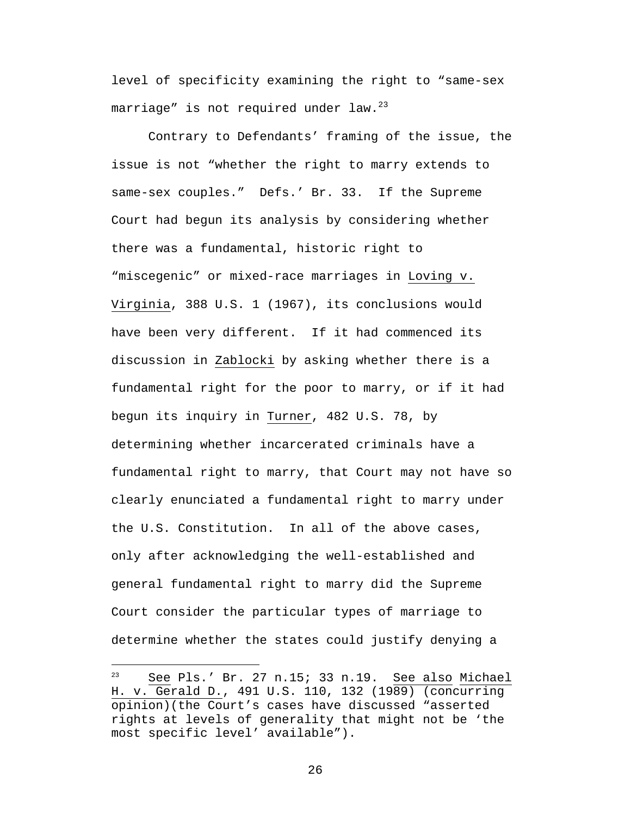level of specificity examining the right to "same-sex marriage" is not required under law. $^{23}$ 

Contrary to Defendants' framing of the issue, the issue is not "whether the right to marry extends to same-sex couples." Defs.' Br. 33. If the Supreme Court had begun its analysis by considering whether there was a fundamental, historic right to "miscegenic" or mixed-race marriages in Loving v. Virginia, 388 U.S. 1 (1967), its conclusions would have been very different. If it had commenced its discussion in Zablocki by asking whether there is a fundamental right for the poor to marry, or if it had begun its inquiry in Turner, 482 U.S. 78, by determining whether incarcerated criminals have a fundamental right to marry, that Court may not have so clearly enunciated a fundamental right to marry under the U.S. Constitution. In all of the above cases, only after acknowledging the well-established and general fundamental right to marry did the Supreme Court consider the particular types of marriage to determine whether the states could justify denying a

 $\overline{a}$ 

<sup>23</sup> See Pls.' Br. 27 n.15; 33 n.19. See also Michael H. v. Gerald D., 491 U.S. 110, 132 (1989) (concurring opinion)(the Court's cases have discussed "asserted rights at levels of generality that might not be 'the most specific level' available").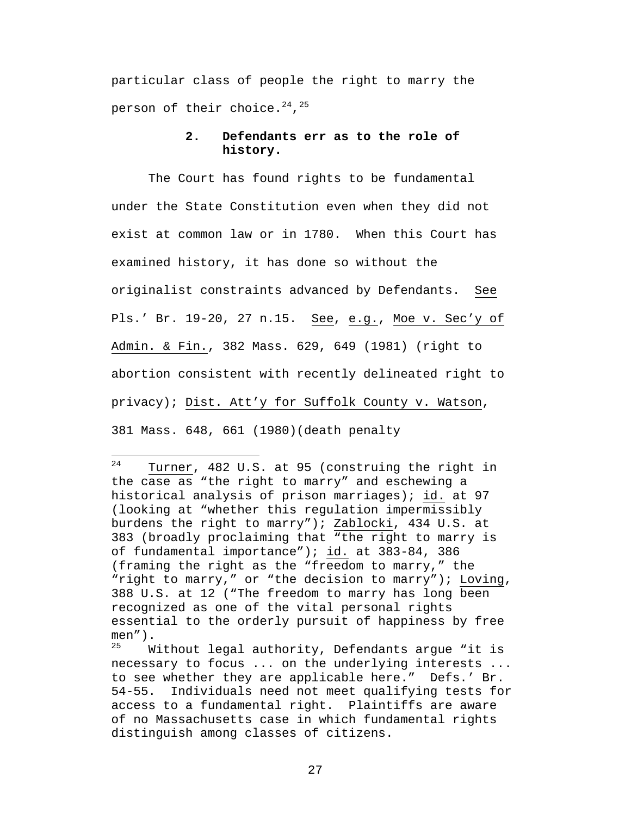particular class of people the right to marry the person of their choice. $^{24}$ , $^{25}$ 

### **2. Defendants err as to the role of history.**

The Court has found rights to be fundamental under the State Constitution even when they did not exist at common law or in 1780. When this Court has examined history, it has done so without the originalist constraints advanced by Defendants. See Pls.' Br. 19-20, 27 n.15. See, e.g., Moe v. Sec'y of Admin. & Fin., 382 Mass. 629, 649 (1981) (right to abortion consistent with recently delineated right to privacy); Dist. Att'y for Suffolk County v. Watson, 381 Mass. 648, 661 (1980)(death penalty

<sup>24</sup> Turner, 482 U.S. at 95 (construing the right in the case as "the right to marry" and eschewing a historical analysis of prison marriages); id. at 97 (looking at "whether this regulation impermissibly burdens the right to marry"); Zablocki, 434 U.S. at 383 (broadly proclaiming that "the right to marry is of fundamental importance"); id. at 383-84, 386 (framing the right as the "freedom to marry," the "right to marry," or "the decision to marry"); Loving, 388 U.S. at 12 ("The freedom to marry has long been recognized as one of the vital personal rights essential to the orderly pursuit of happiness by free men").<br> $\frac{25}{M}$ 

Without legal authority, Defendants argue "it is necessary to focus ... on the underlying interests ... to see whether they are applicable here." Defs.' Br. 54-55. Individuals need not meet qualifying tests for access to a fundamental right. Plaintiffs are aware of no Massachusetts case in which fundamental rights distinguish among classes of citizens.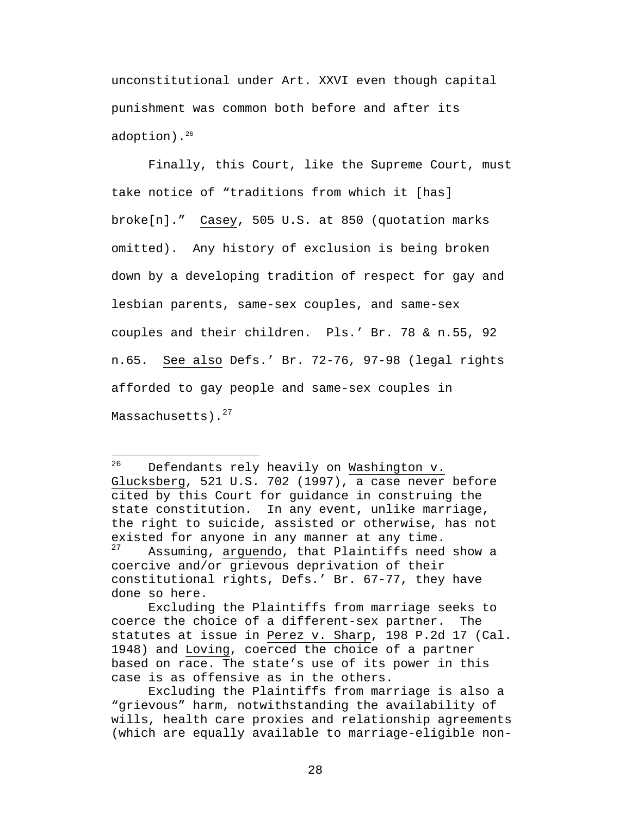unconstitutional under Art. XXVI even though capital punishment was common both before and after its adoption).<sup>26</sup>

Finally, this Court, like the Supreme Court, must take notice of "traditions from which it [has] broke[n]." Casey, 505 U.S. at 850 (quotation marks omitted). Any history of exclusion is being broken down by a developing tradition of respect for gay and lesbian parents, same-sex couples, and same-sex couples and their children. Pls.' Br. 78 & n.55, 92 n.65. See also Defs.' Br. 72-76, 97-98 (legal rights afforded to gay people and same-sex couples in Massachusetts).<sup>27</sup>

26 Defendants rely heavily on Washington v. Glucksberg, 521 U.S. 702 (1997), a case never before cited by this Court for guidance in construing the state constitution. In any event, unlike marriage, the right to suicide, assisted or otherwise, has not existed for anyone in any manner at any time.<br> $27 \t\hbar g$  againing arguedo that Plaintiffs pood Assuming, arguendo, that Plaintiffs need show a coercive and/or grievous deprivation of their constitutional rights, Defs.' Br. 67-77, they have done so here.

Excluding the Plaintiffs from marriage seeks to coerce the choice of a different-sex partner. The statutes at issue in Perez v. Sharp, 198 P.2d 17 (Cal. 1948) and Loving, coerced the choice of a partner based on race. The state's use of its power in this case is as offensive as in the others.

Excluding the Plaintiffs from marriage is also a "grievous" harm, notwithstanding the availability of wills, health care proxies and relationship agreements (which are equally available to marriage-eligible non-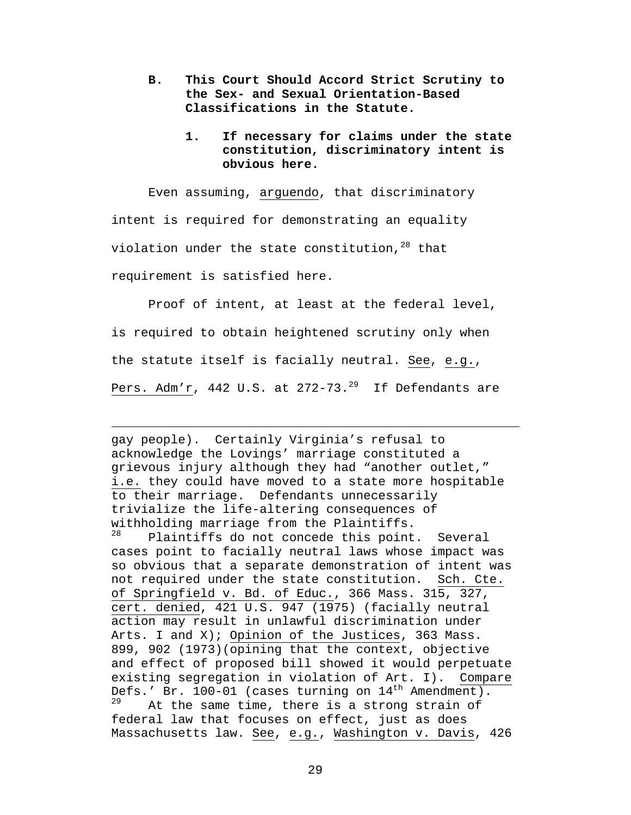- **B. This Court Should Accord Strict Scrutiny to the Sex- and Sexual Orientation-Based Classifications in the Statute.**
	- **1. If necessary for claims under the state constitution, discriminatory intent is obvious here.**

Even assuming, arguendo, that discriminatory intent is required for demonstrating an equality violation under the state constitution,  $28$  that requirement is satisfied here.

Proof of intent, at least at the federal level, is required to obtain heightened scrutiny only when the statute itself is facially neutral. See, e.g., Pers. Adm'r, 442 U.S. at  $272-73.^{29}$  If Defendants are

 $\overline{a}$ gay people). Certainly Virginia's refusal to acknowledge the Lovings' marriage constituted a grievous injury although they had "another outlet," i.e. they could have moved to a state more hospitable to their marriage. Defendants unnecessarily trivialize the life-altering consequences of withholding marriage from the Plaintiffs.<br>28 Blaintiffs de not sensode this point. Plaintiffs do not concede this point. Several cases point to facially neutral laws whose impact was so obvious that a separate demonstration of intent was not required under the state constitution. Sch. Cte. of Springfield v. Bd. of Educ., 366 Mass. 315, 327, cert. denied, 421 U.S. 947 (1975) (facially neutral action may result in unlawful discrimination under Arts. I and X); Opinion of the Justices, 363 Mass. 899, 902 (1973)(opining that the context, objective and effect of proposed bill showed it would perpetuate existing segregation in violation of Art. I). Compare Defs.' Br. 100-01 (cases turning on  $14<sup>th</sup>$  Amendment).<br><sup>29</sup> <sup>1</sup> <sup>tho same time there is a strong strain of</sup> At the same time, there is a strong strain of federal law that focuses on effect, just as does Massachusetts law. See, e.g., Washington v. Davis, 426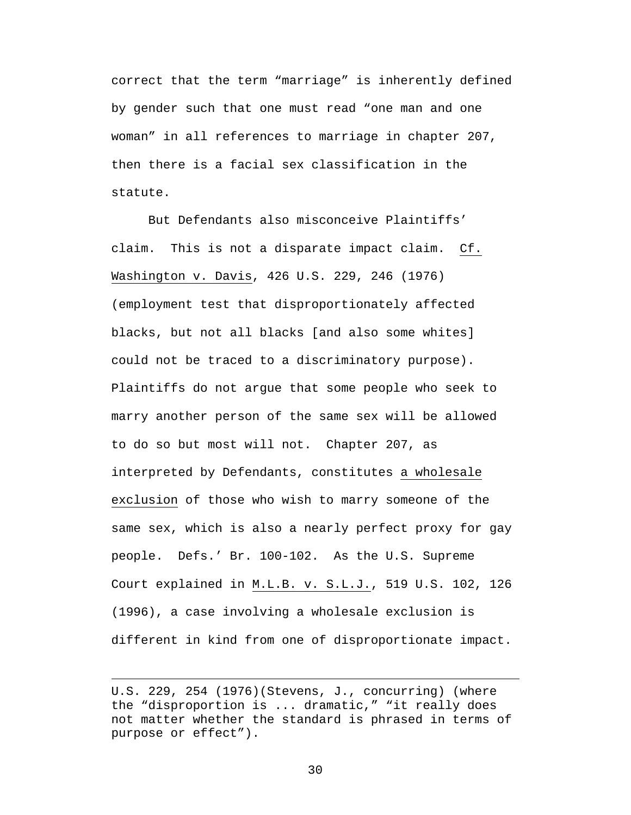correct that the term "marriage" is inherently defined by gender such that one must read "one man and one woman" in all references to marriage in chapter 207, then there is a facial sex classification in the statute.

But Defendants also misconceive Plaintiffs' claim. This is not a disparate impact claim. Cf. Washington v. Davis, 426 U.S. 229, 246 (1976) (employment test that disproportionately affected blacks, but not all blacks [and also some whites] could not be traced to a discriminatory purpose). Plaintiffs do not argue that some people who seek to marry another person of the same sex will be allowed to do so but most will not. Chapter 207, as interpreted by Defendants, constitutes a wholesale exclusion of those who wish to marry someone of the same sex, which is also a nearly perfect proxy for gay people. Defs.' Br. 100-102. As the U.S. Supreme Court explained in M.L.B. v. S.L.J., 519 U.S. 102, 126 (1996), a case involving a wholesale exclusion is different in kind from one of disproportionate impact.

 $\overline{a}$ 

U.S. 229, 254 (1976)(Stevens, J., concurring) (where the "disproportion is ... dramatic," "it really does not matter whether the standard is phrased in terms of purpose or effect").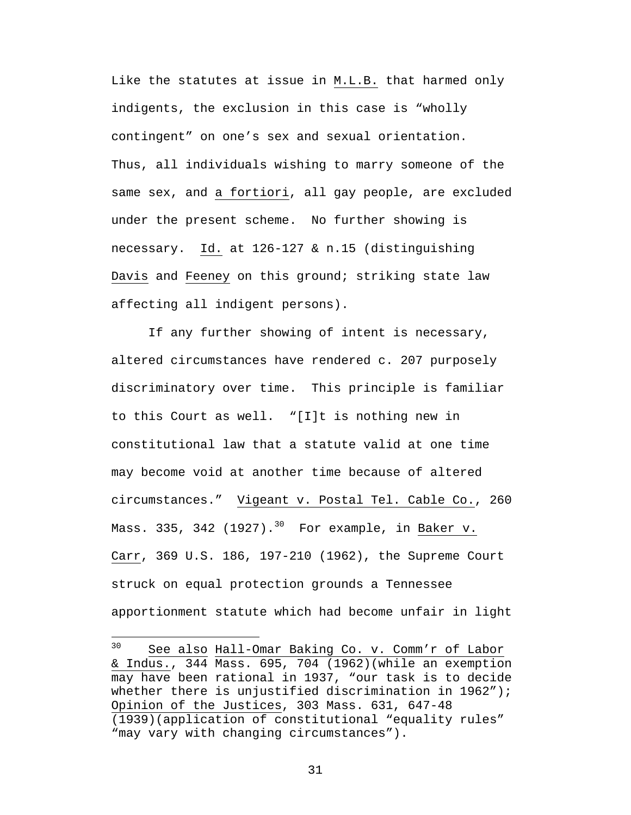Like the statutes at issue in M.L.B. that harmed only indigents, the exclusion in this case is "wholly contingent" on one's sex and sexual orientation. Thus, all individuals wishing to marry someone of the same sex, and a fortiori, all gay people, are excluded under the present scheme. No further showing is necessary. Id. at 126-127 & n.15 (distinguishing Davis and Feeney on this ground; striking state law affecting all indigent persons).

If any further showing of intent is necessary, altered circumstances have rendered c. 207 purposely discriminatory over time. This principle is familiar to this Court as well. "[I]t is nothing new in constitutional law that a statute valid at one time may become void at another time because of altered circumstances." Vigeant v. Postal Tel. Cable Co., 260 Mass. 335, 342 (1927). $30$  For example, in Baker v. Carr, 369 U.S. 186, 197-210 (1962), the Supreme Court struck on equal protection grounds a Tennessee apportionment statute which had become unfair in light

 $\overline{a}$ 

<sup>30</sup> See also Hall-Omar Baking Co. v. Comm'r of Labor & Indus., 344 Mass. 695, 704 (1962)(while an exemption may have been rational in 1937, "our task is to decide whether there is unjustified discrimination in 1962"); Opinion of the Justices, 303 Mass. 631, 647-48 (1939)(application of constitutional "equality rules" "may vary with changing circumstances").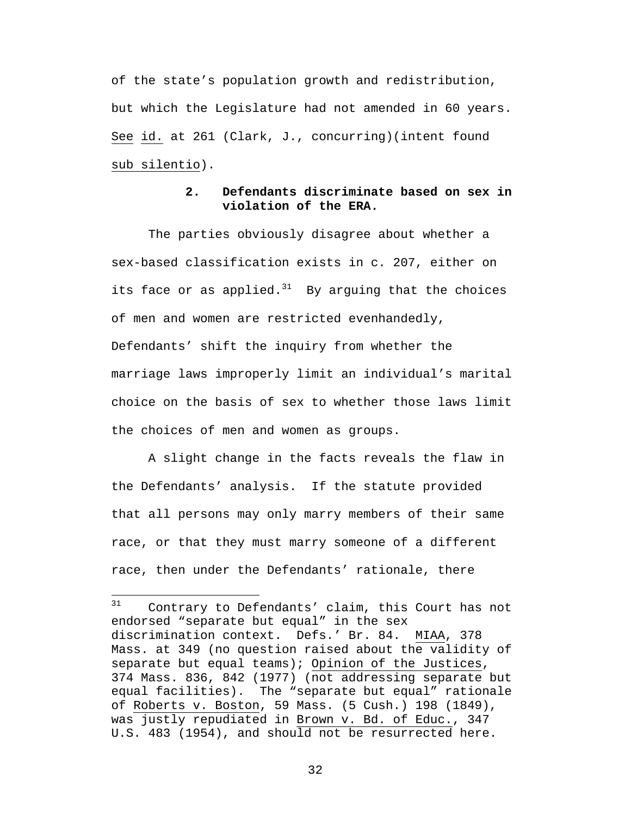of the state's population growth and redistribution, but which the Legislature had not amended in 60 years. See id. at 261 (Clark, J., concurring)(intent found sub silentio).

# **2. Defendants discriminate based on sex in violation of the ERA.**

The parties obviously disagree about whether a sex-based classification exists in c. 207, either on its face or as applied. $31$  By arguing that the choices of men and women are restricted evenhandedly, Defendants' shift the inquiry from whether the marriage laws improperly limit an individual's marital choice on the basis of sex to whether those laws limit the choices of men and women as groups.

A slight change in the facts reveals the flaw in the Defendants' analysis. If the statute provided that all persons may only marry members of their same race, or that they must marry someone of a different race, then under the Defendants' rationale, there

 $\overline{a}$ 

 $31$  Contrary to Defendants' claim, this Court has not endorsed "separate but equal" in the sex discrimination context. Defs.' Br. 84. MIAA, 378 Mass. at 349 (no question raised about the validity of separate but equal teams); Opinion of the Justices, 374 Mass. 836, 842 (1977) (not addressing separate but equal facilities). The "separate but equal" rationale of Roberts v. Boston, 59 Mass. (5 Cush.) 198 (1849), was justly repudiated in Brown v. Bd. of Educ., 347 U.S. 483 (1954), and should not be resurrected here.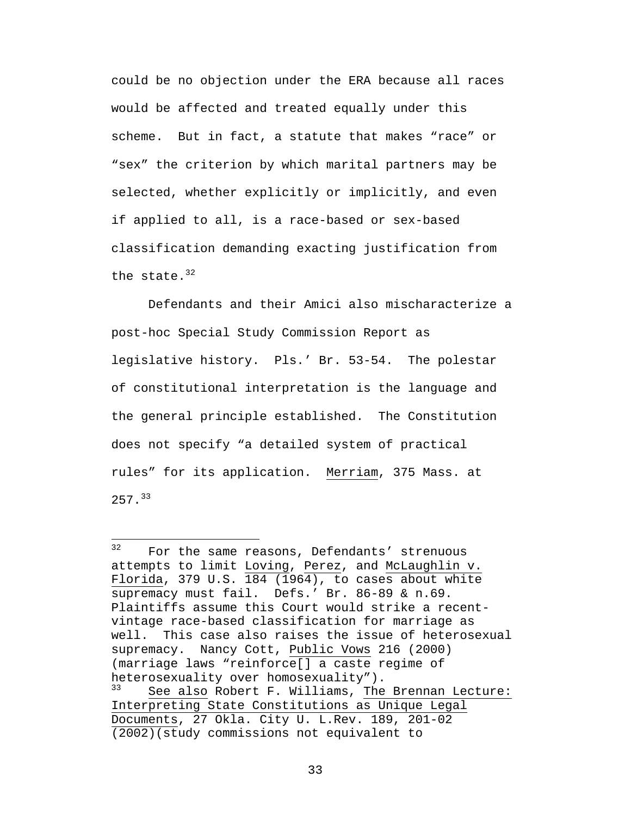could be no objection under the ERA because all races would be affected and treated equally under this scheme. But in fact, a statute that makes "race" or "sex" the criterion by which marital partners may be selected, whether explicitly or implicitly, and even if applied to all, is a race-based or sex-based classification demanding exacting justification from the state. $32$ 

Defendants and their Amici also mischaracterize a post-hoc Special Study Commission Report as legislative history. Pls.' Br. 53-54. The polestar of constitutional interpretation is the language and the general principle established. The Constitution does not specify "a detailed system of practical rules" for its application. Merriam, 375 Mass. at 257.<sup>33</sup>

 $32$ For the same reasons, Defendants' strenuous attempts to limit Loving, Perez, and McLaughlin v. Florida, 379 U.S. 184 (1964), to cases about white supremacy must fail. Defs.' Br. 86-89 & n.69. Plaintiffs assume this Court would strike a recentvintage race-based classification for marriage as well. This case also raises the issue of heterosexual supremacy. Nancy Cott, Public Vows 216 (2000) (marriage laws "reinforce[] a caste regime of heterosexuality over homosexuality").<br> $^{33}$  Coo also Rebert E Williams The See also Robert F. Williams, The Brennan Lecture: Interpreting State Constitutions as Unique Legal Documents, 27 Okla. City U. L.Rev. 189, 201-02 (2002)(study commissions not equivalent to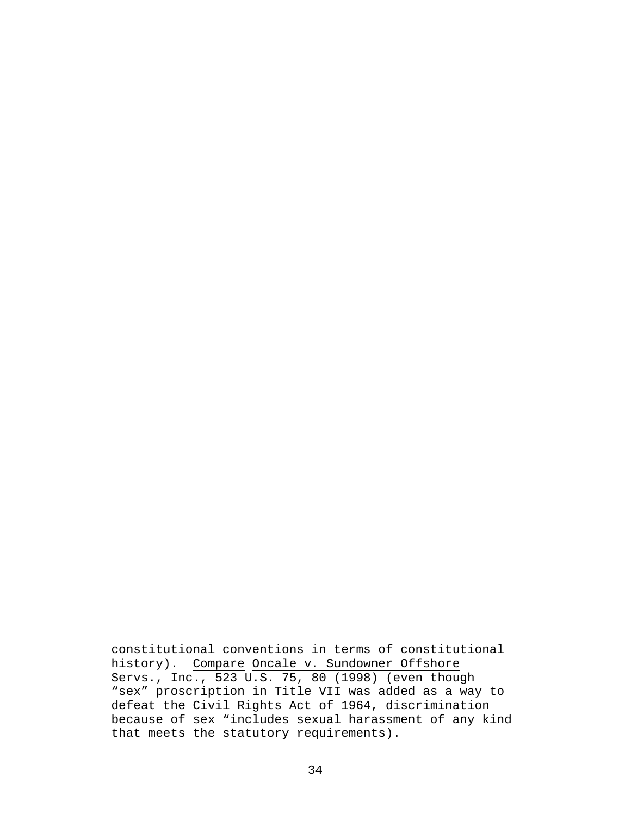constitutional conventions in terms of constitutional history). Compare Oncale v. Sundowner Offshore Servs., Inc., 523 U.S. 75, 80 (1998) (even though "sex" proscription in Title VII was added as a way to defeat the Civil Rights Act of 1964, discrimination because of sex "includes sexual harassment of any kind that meets the statutory requirements).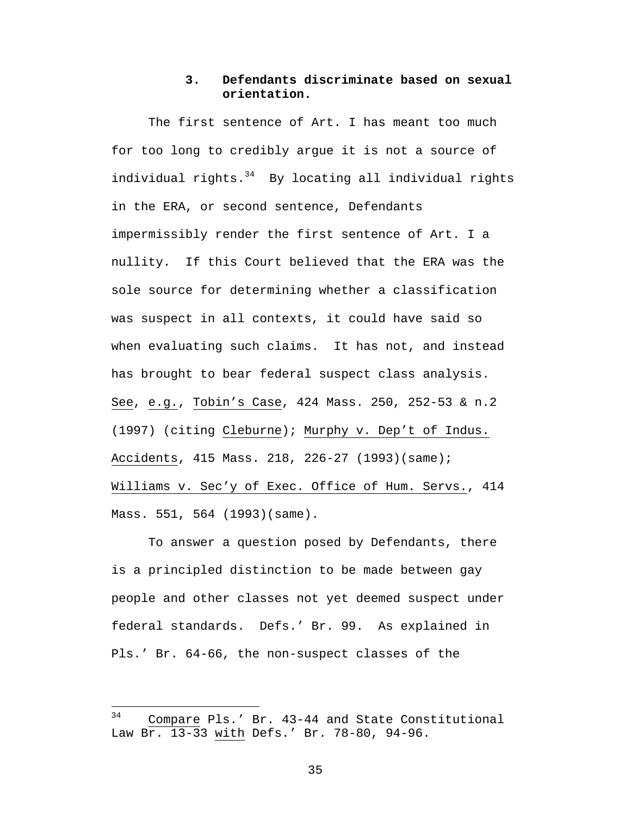## **3. Defendants discriminate based on sexual orientation.**

The first sentence of Art. I has meant too much for too long to credibly argue it is not a source of individual rights. $34$  By locating all individual rights in the ERA, or second sentence, Defendants impermissibly render the first sentence of Art. I a nullity. If this Court believed that the ERA was the sole source for determining whether a classification was suspect in all contexts, it could have said so when evaluating such claims. It has not, and instead has brought to bear federal suspect class analysis. See, e.g., Tobin's Case, 424 Mass. 250, 252-53 & n.2 (1997) (citing Cleburne); Murphy v. Dep't of Indus. Accidents, 415 Mass. 218, 226-27 (1993)(same); Williams v. Sec'y of Exec. Office of Hum. Servs., 414 Mass. 551, 564 (1993)(same).

To answer a question posed by Defendants, there is a principled distinction to be made between gay people and other classes not yet deemed suspect under federal standards. Defs.' Br. 99. As explained in Pls.' Br. 64-66, the non-suspect classes of the

1

<sup>&</sup>lt;sup>34</sup> Compare Pls.' Br. 43-44 and State Constitutional Law Br. 13-33 with Defs.' Br. 78-80, 94-96.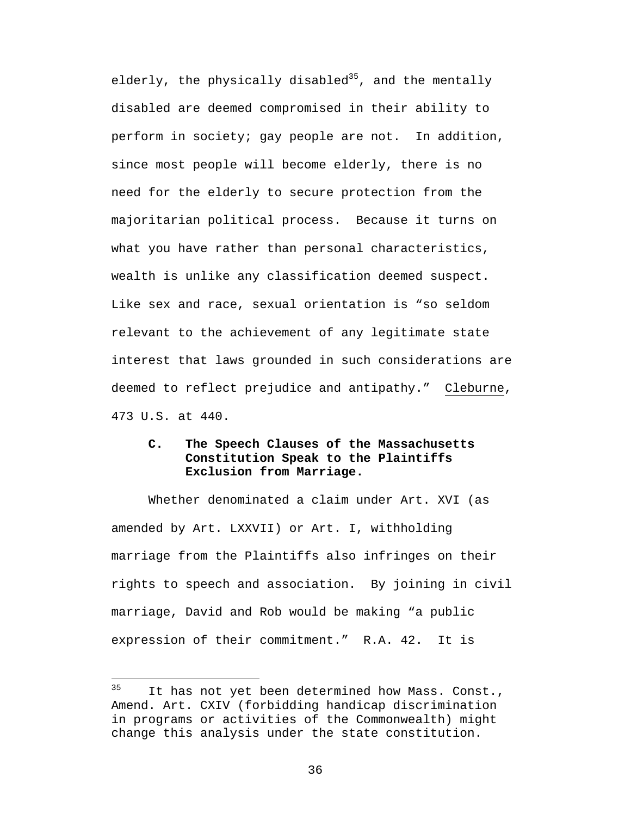elderly, the physically disabled<sup>35</sup>, and the mentally disabled are deemed compromised in their ability to perform in society; gay people are not. In addition, since most people will become elderly, there is no need for the elderly to secure protection from the majoritarian political process. Because it turns on what you have rather than personal characteristics, wealth is unlike any classification deemed suspect. Like sex and race, sexual orientation is "so seldom relevant to the achievement of any legitimate state interest that laws grounded in such considerations are deemed to reflect prejudice and antipathy." Cleburne, 473 U.S. at 440.

# **C. The Speech Clauses of the Massachusetts Constitution Speak to the Plaintiffs Exclusion from Marriage.**

Whether denominated a claim under Art. XVI (as amended by Art. LXXVII) or Art. I, withholding marriage from the Plaintiffs also infringes on their rights to speech and association. By joining in civil marriage, David and Rob would be making "a public expression of their commitment." R.A. 42. It is

<sup>35</sup> It has not yet been determined how Mass. Const., Amend. Art. CXIV (forbidding handicap discrimination in programs or activities of the Commonwealth) might change this analysis under the state constitution.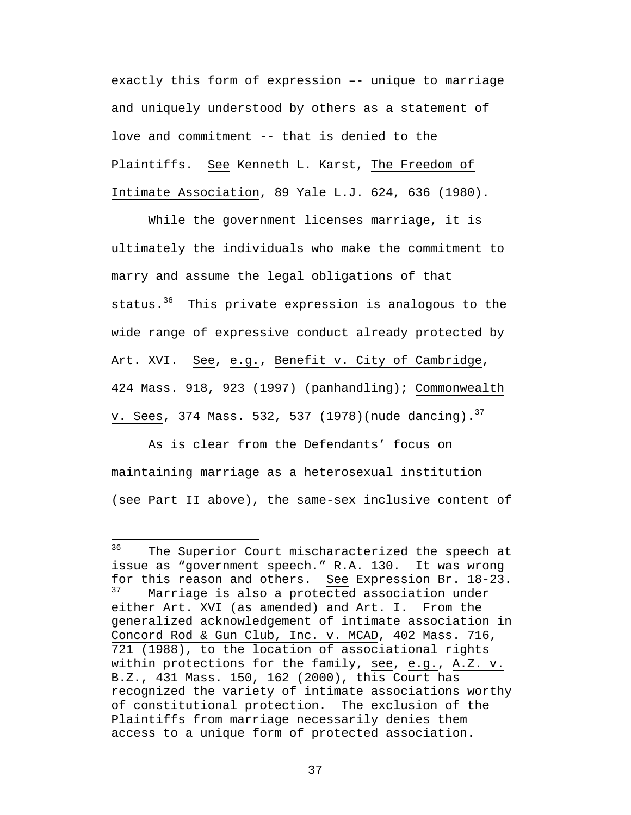exactly this form of expression –- unique to marriage and uniquely understood by others as a statement of love and commitment -- that is denied to the Plaintiffs. See Kenneth L. Karst, The Freedom of Intimate Association, 89 Yale L.J. 624, 636 (1980).

While the government licenses marriage, it is ultimately the individuals who make the commitment to marry and assume the legal obligations of that status.<sup>36</sup> This private expression is analogous to the wide range of expressive conduct already protected by Art. XVI. See, e.g., Benefit v. City of Cambridge, 424 Mass. 918, 923 (1997) (panhandling); Commonwealth v. Sees, 374 Mass. 532, 537 (1978)(nude dancing).  $37$ 

As is clear from the Defendants' focus on maintaining marriage as a heterosexual institution (see Part II above), the same-sex inclusive content of

<sup>36</sup> The Superior Court mischaracterized the speech at issue as "government speech." R.A. 130. It was wrong for this reason and others. See Expression Br.  $18-23$ .<br> $37$  Marriage is also a protected association under Marriage is also a protected association under either Art. XVI (as amended) and Art. I. From the generalized acknowledgement of intimate association in Concord Rod & Gun Club, Inc. v. MCAD, 402 Mass. 716, 721 (1988), to the location of associational rights within protections for the family, see, e.g., A.Z. v. B.Z., 431 Mass. 150, 162 (2000), this Court has recognized the variety of intimate associations worthy of constitutional protection. The exclusion of the Plaintiffs from marriage necessarily denies them access to a unique form of protected association.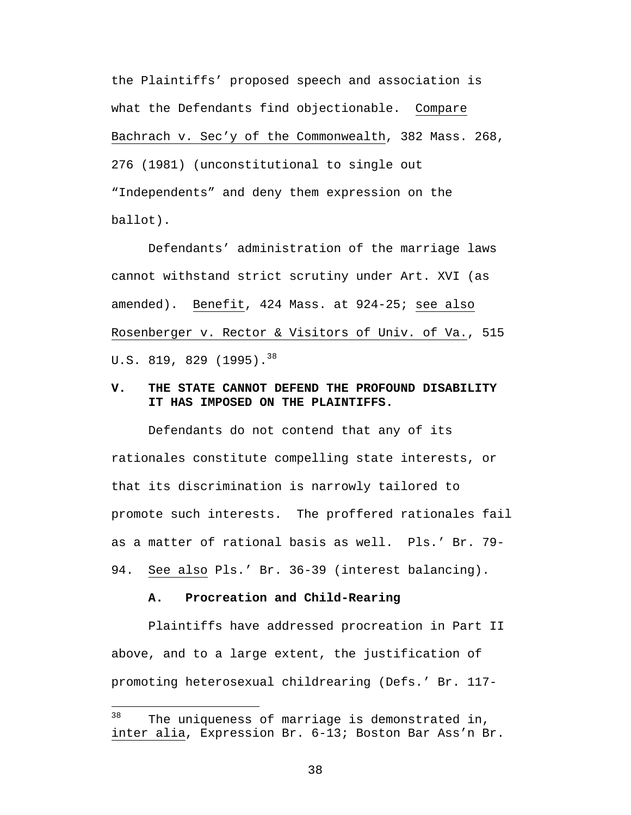the Plaintiffs' proposed speech and association is what the Defendants find objectionable. Compare Bachrach v. Sec'y of the Commonwealth, 382 Mass. 268, 276 (1981) (unconstitutional to single out "Independents" and deny them expression on the ballot).

Defendants' administration of the marriage laws cannot withstand strict scrutiny under Art. XVI (as amended). Benefit, 424 Mass. at 924-25; see also Rosenberger v. Rector & Visitors of Univ. of Va., 515 U.S. 819, 829  $(1995)$ .<sup>38</sup>

### **V. THE STATE CANNOT DEFEND THE PROFOUND DISABILITY IT HAS IMPOSED ON THE PLAINTIFFS.**

Defendants do not contend that any of its rationales constitute compelling state interests, or that its discrimination is narrowly tailored to promote such interests. The proffered rationales fail as a matter of rational basis as well. Pls.' Br. 79- 94. See also Pls.' Br. 36-39 (interest balancing).

#### **A. Procreation and Child-Rearing**

 $\overline{a}$ 

Plaintiffs have addressed procreation in Part II above, and to a large extent, the justification of promoting heterosexual childrearing (Defs.' Br. 117-

 $38$  The uniqueness of marriage is demonstrated in, inter alia, Expression Br. 6-13; Boston Bar Ass'n Br.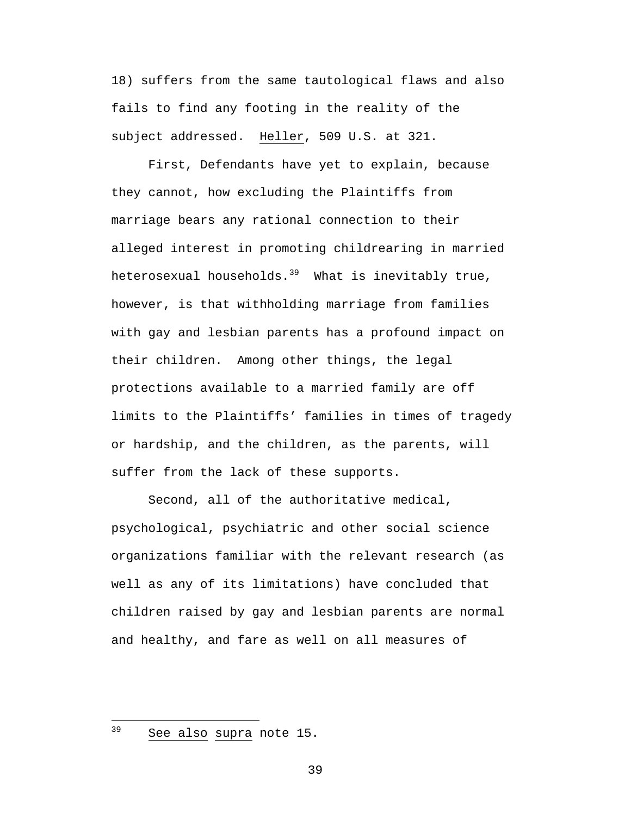18) suffers from the same tautological flaws and also fails to find any footing in the reality of the subject addressed. Heller, 509 U.S. at 321.

First, Defendants have yet to explain, because they cannot, how excluding the Plaintiffs from marriage bears any rational connection to their alleged interest in promoting childrearing in married heterosexual households.<sup>39</sup> What is inevitably true, however, is that withholding marriage from families with gay and lesbian parents has a profound impact on their children. Among other things, the legal protections available to a married family are off limits to the Plaintiffs' families in times of tragedy or hardship, and the children, as the parents, will suffer from the lack of these supports.

Second, all of the authoritative medical, psychological, psychiatric and other social science organizations familiar with the relevant research (as well as any of its limitations) have concluded that children raised by gay and lesbian parents are normal and healthy, and fare as well on all measures of

39 See also supra note 15.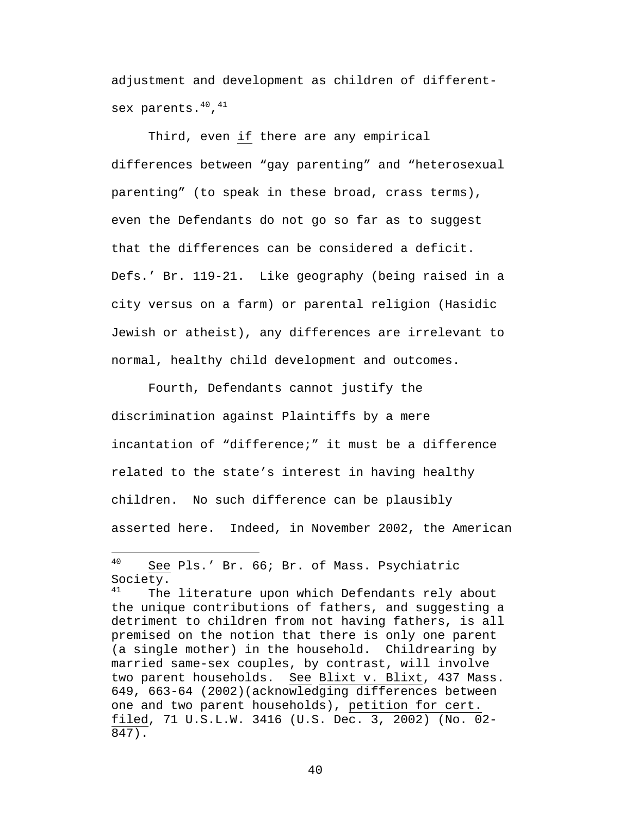adjustment and development as children of differentsex parents. $^{40}$ , $^{41}$ 

Third, even if there are any empirical differences between "gay parenting" and "heterosexual parenting" (to speak in these broad, crass terms), even the Defendants do not go so far as to suggest that the differences can be considered a deficit. Defs.' Br. 119-21. Like geography (being raised in a city versus on a farm) or parental religion (Hasidic Jewish or atheist), any differences are irrelevant to normal, healthy child development and outcomes.

Fourth, Defendants cannot justify the discrimination against Plaintiffs by a mere incantation of "difference;" it must be a difference related to the state's interest in having healthy children. No such difference can be plausibly asserted here. Indeed, in November 2002, the American

1

<sup>40</sup> See Pls.' Br. 66; Br. of Mass. Psychiatric Society.<br><sup>41</sup> The

The literature upon which Defendants rely about the unique contributions of fathers, and suggesting a detriment to children from not having fathers, is all premised on the notion that there is only one parent (a single mother) in the household. Childrearing by married same-sex couples, by contrast, will involve two parent households. See Blixt v. Blixt, 437 Mass. 649, 663-64 (2002)(acknowledging differences between one and two parent households), petition for cert. filed, 71 U.S.L.W. 3416 (U.S. Dec. 3, 2002) (No. 02- 847).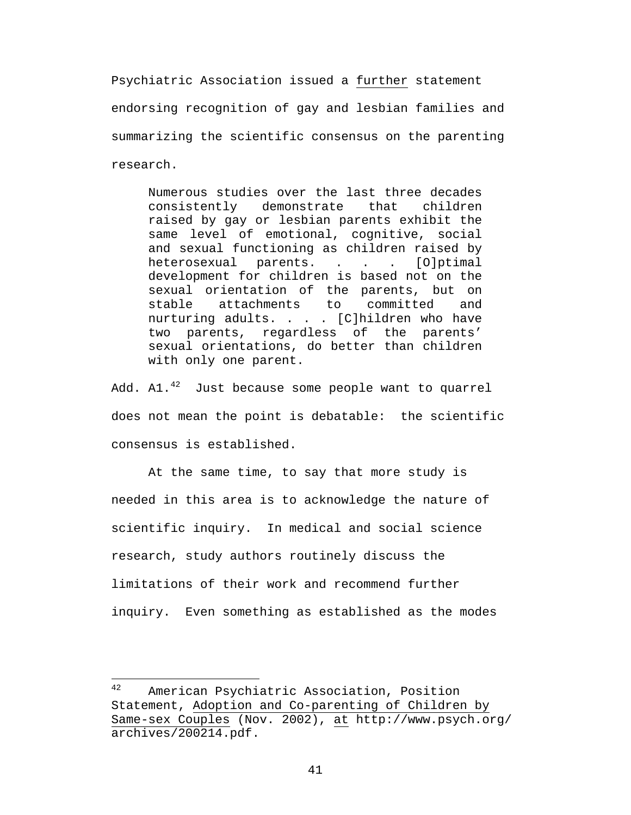Psychiatric Association issued a further statement endorsing recognition of gay and lesbian families and summarizing the scientific consensus on the parenting research.

Numerous studies over the last three decades consistently demonstrate that children raised by gay or lesbian parents exhibit the same level of emotional, cognitive, social and sexual functioning as children raised by heterosexual parents. . . . [O]ptimal development for children is based not on the sexual orientation of the parents, but on stable attachments to committed and nurturing adults. . . . [C]hildren who have two parents, regardless of the parents' sexual orientations, do better than children with only one parent.

Add. Al. $^{42}$  Just because some people want to quarrel does not mean the point is debatable: the scientific consensus is established.

At the same time, to say that more study is needed in this area is to acknowledge the nature of scientific inquiry. In medical and social science research, study authors routinely discuss the limitations of their work and recommend further inquiry. Even something as established as the modes

<sup>42</sup> American Psychiatric Association, Position Statement, Adoption and Co-parenting of Children by Same-sex Couples (Nov. 2002), at http://www.psych.org/ archives/200214.pdf.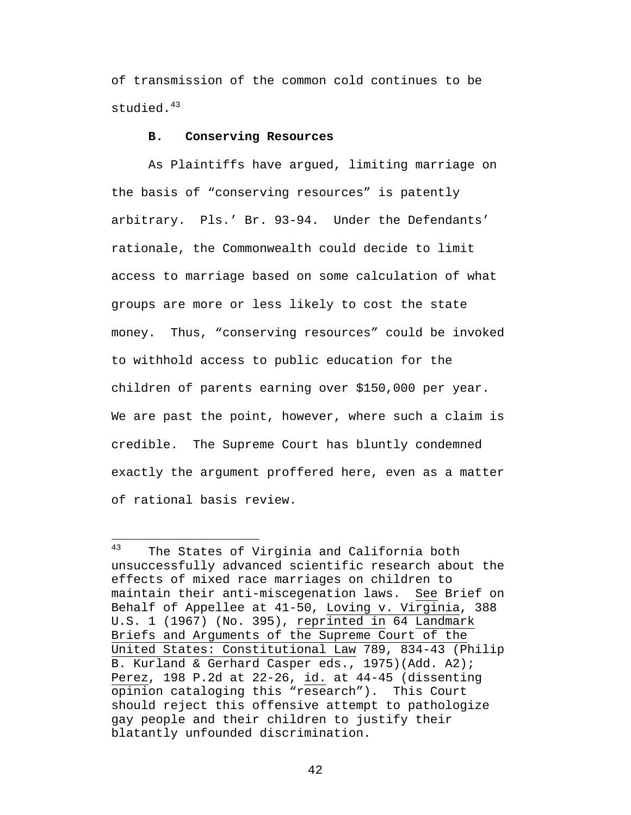of transmission of the common cold continues to be studied.<sup>43</sup>

#### **B. Conserving Resources**

As Plaintiffs have argued, limiting marriage on the basis of "conserving resources" is patently arbitrary. Pls.' Br. 93-94. Under the Defendants' rationale, the Commonwealth could decide to limit access to marriage based on some calculation of what groups are more or less likely to cost the state money. Thus, "conserving resources" could be invoked to withhold access to public education for the children of parents earning over \$150,000 per year. We are past the point, however, where such a claim is credible. The Supreme Court has bluntly condemned exactly the argument proffered here, even as a matter of rational basis review.

<sup>43</sup> The States of Virginia and California both unsuccessfully advanced scientific research about the effects of mixed race marriages on children to maintain their anti-miscegenation laws. See Brief on Behalf of Appellee at 41-50, Loving v. Virginia, 388 U.S. 1 (1967) (No. 395), reprinted in 64 Landmark Briefs and Arguments of the Supreme Court of the United States: Constitutional Law 789, 834-43 (Philip B. Kurland & Gerhard Casper eds., 1975)(Add. A2); Perez, 198 P.2d at 22-26, id. at 44-45 (dissenting opinion cataloging this "research"). This Court should reject this offensive attempt to pathologize gay people and their children to justify their blatantly unfounded discrimination.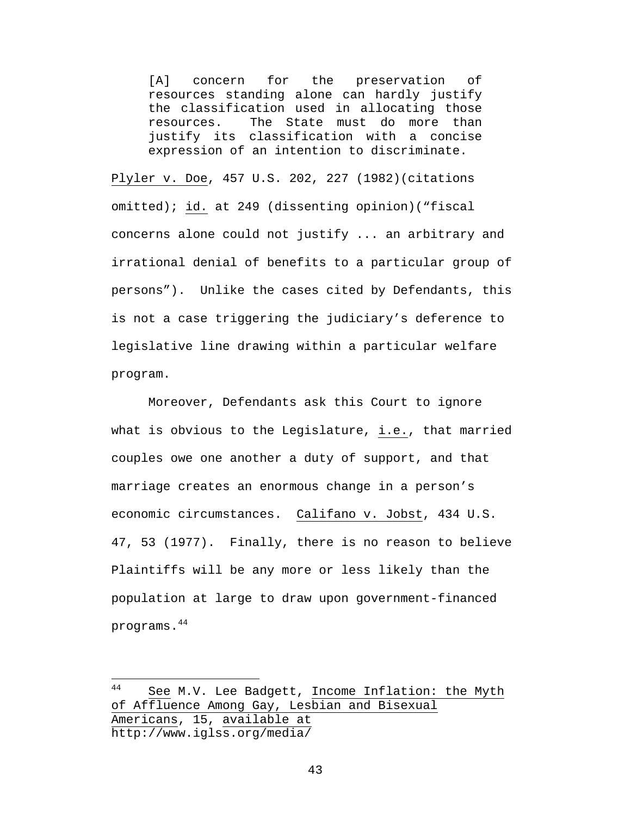[A] concern for the preservation of resources standing alone can hardly justify the classification used in allocating those resources. The State must do more than justify its classification with a concise expression of an intention to discriminate.

Plyler v. Doe, 457 U.S. 202, 227 (1982)(citations omitted); id. at 249 (dissenting opinion)("fiscal concerns alone could not justify ... an arbitrary and irrational denial of benefits to a particular group of persons"). Unlike the cases cited by Defendants, this is not a case triggering the judiciary's deference to legislative line drawing within a particular welfare program.

Moreover, Defendants ask this Court to ignore what is obvious to the Legislature, i.e., that married couples owe one another a duty of support, and that marriage creates an enormous change in a person's economic circumstances. Califano v. Jobst, 434 U.S. 47, 53 (1977). Finally, there is no reason to believe Plaintiffs will be any more or less likely than the population at large to draw upon government-financed programs.<sup>44</sup>

<sup>44</sup> See M.V. Lee Badgett, Income Inflation: the Myth of Affluence Among Gay, Lesbian and Bisexual Americans, 15, available at http://www.iglss.org/media/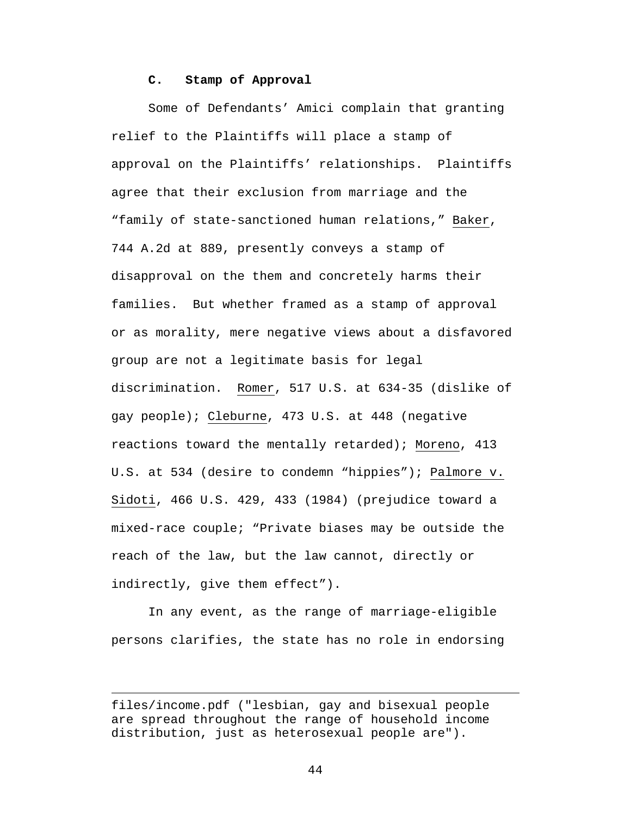### **C. Stamp of Approval**

Some of Defendants' Amici complain that granting relief to the Plaintiffs will place a stamp of approval on the Plaintiffs' relationships. Plaintiffs agree that their exclusion from marriage and the "family of state-sanctioned human relations," Baker, 744 A.2d at 889, presently conveys a stamp of disapproval on the them and concretely harms their families. But whether framed as a stamp of approval or as morality, mere negative views about a disfavored group are not a legitimate basis for legal discrimination. Romer, 517 U.S. at 634-35 (dislike of gay people); Cleburne, 473 U.S. at 448 (negative reactions toward the mentally retarded); Moreno, 413 U.S. at 534 (desire to condemn "hippies"); Palmore v. Sidoti, 466 U.S. 429, 433 (1984) (prejudice toward a mixed-race couple; "Private biases may be outside the reach of the law, but the law cannot, directly or indirectly, give them effect").

In any event, as the range of marriage-eligible persons clarifies, the state has no role in endorsing

 $\overline{a}$ 

files/income.pdf ("lesbian, gay and bisexual people are spread throughout the range of household income distribution, just as heterosexual people are").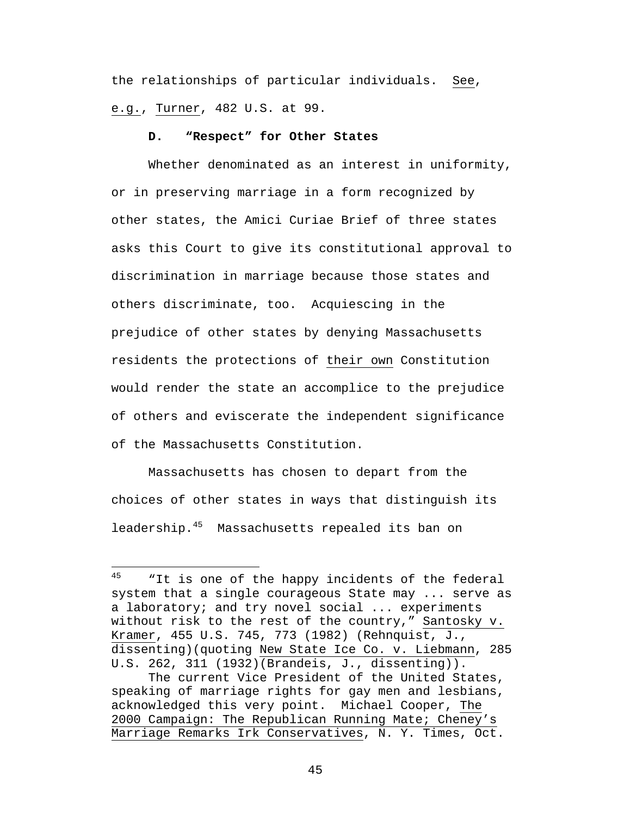the relationships of particular individuals. See, e.g., Turner, 482 U.S. at 99.

### **D. "Respect" for Other States**

Whether denominated as an interest in uniformity, or in preserving marriage in a form recognized by other states, the Amici Curiae Brief of three states asks this Court to give its constitutional approval to discrimination in marriage because those states and others discriminate, too. Acquiescing in the prejudice of other states by denying Massachusetts residents the protections of their own Constitution would render the state an accomplice to the prejudice of others and eviscerate the independent significance of the Massachusetts Constitution.

Massachusetts has chosen to depart from the choices of other states in ways that distinguish its leadership.<sup>45</sup> Massachusetts repealed its ban on

<sup>45</sup> "It is one of the happy incidents of the federal system that a single courageous State may ... serve as a laboratory; and try novel social ... experiments without risk to the rest of the country," Santosky v. Kramer, 455 U.S. 745, 773 (1982) (Rehnquist, J., dissenting)(quoting New State Ice Co. v. Liebmann, 285 U.S. 262, 311 (1932)(Brandeis, J., dissenting)).

The current Vice President of the United States, speaking of marriage rights for gay men and lesbians, acknowledged this very point. Michael Cooper, The 2000 Campaign: The Republican Running Mate; Cheney's Marriage Remarks Irk Conservatives, N. Y. Times, Oct.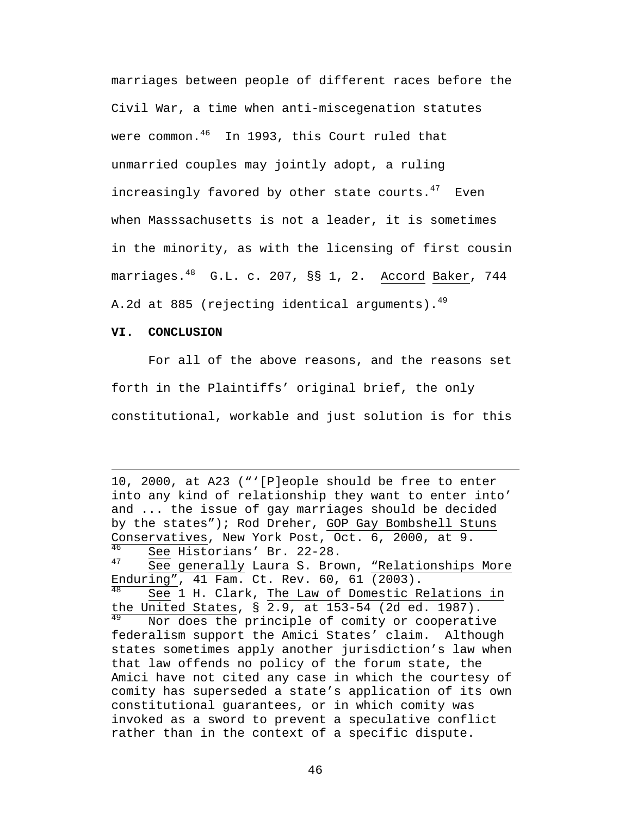marriages between people of different races before the Civil War, a time when anti-miscegenation statutes were common.<sup>46</sup> In 1993, this Court ruled that unmarried couples may jointly adopt, a ruling increasingly favored by other state courts. $47$  Even when Masssachusetts is not a leader, it is sometimes in the minority, as with the licensing of first cousin marriages.<sup>48</sup> G.L. c. 207, §§ 1, 2. Accord Baker, 744 A.2d at 885 (rejecting identical arguments). $49$ 

#### **VI. CONCLUSION**

 $\overline{a}$ 

For all of the above reasons, and the reasons set forth in the Plaintiffs' original brief, the only constitutional, workable and just solution is for this

10, 2000, at A23 ("'[P]eople should be free to enter into any kind of relationship they want to enter into' and ... the issue of gay marriages should be decided by the states"); Rod Dreher, GOP Gay Bombshell Stuns Conservatives, New York Post, Oct.  $6, 2000$ , at 9.<br> $\frac{46}{16}$  coo Higtoriang' Pr. 22-29  $\frac{46}{47}$  See Historians' Br. 22-28. See generally Laura S. Brown, "Relationships More Enduring", 41 Fam. Ct. Rev. 60, 61 (2003). See 1 H. Clark, The Law of Domestic Relations in the United States,  $\S$  2.9, at 153-54 (2d ed. 1987).<br> $\frac{49}{12}$  Nor does the principle of comity or cooperative Nor does the principle of comity or cooperative federalism support the Amici States' claim. Although states sometimes apply another jurisdiction's law when that law offends no policy of the forum state, the Amici have not cited any case in which the courtesy of comity has superseded a state's application of its own constitutional guarantees, or in which comity was invoked as a sword to prevent a speculative conflict rather than in the context of a specific dispute.